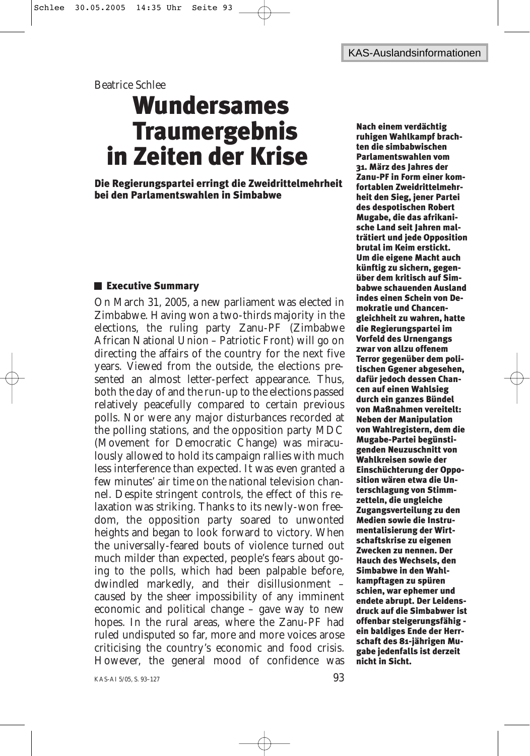Beatrice Schlee

# Wundersames **Traumergebnis** in Zeiten der Krise

Die Regierungspartei erringt die Zweidrittelmehrheit bei den Parlamentswahlen in Simbabwe

# **Executive Summary**

On March 31, 2005, a new parliament was elected in Zimbabwe. Having won a two-thirds majority in the elections, the ruling party Zanu-PF (Zimbabwe African National Union – Patriotic Front) will go on directing the affairs of the country for the next five years. Viewed from the outside, the elections presented an almost letter-perfect appearance. Thus, both the day of and the run-up to the elections passed relatively peacefully compared to certain previous polls. Nor were any major disturbances recorded at the polling stations, and the opposition party MDC (Movement for Democratic Change) was miraculously allowed to hold its campaign rallies with much less interference than expected. It was even granted a few minutes' air time on the national television channel. Despite stringent controls, the effect of this relaxation was striking. Thanks to its newly-won freedom, the opposition party soared to unwonted heights and began to look forward to victory. When the universally-feared bouts of violence turned out much milder than expected, people's fears about going to the polls, which had been palpable before, dwindled markedly, and their disillusionment – caused by the sheer impossibility of any imminent economic and political change – gave way to new hopes. In the rural areas, where the Zanu-PF had ruled undisputed so far, more and more voices arose criticising the country's economic and food crisis. However, the general mood of confidence was Nach einem verdächtig ruhigen Wahlkampf brachten die simbabwischen Parlamentswahlen vom 31. März des Jahres der Zanu-PF in Form einer komfortablen Zweidrittelmehrheit den Sieg, jener Partei des despotischen Robert Mugabe, die das afrikanische Land seit Jahren malträtiert und jede Opposition brutal im Keim erstickt. Um die eigene Macht auch künftig zu sichern, gegenüber dem kritisch auf Simbabwe schauenden Ausland indes einen Schein von Demokratie und Chancengleichheit zu wahren, hatte die Regierungspartei im Vorfeld des Urnengangs zwar von allzu offenem Terror gegenüber dem politischen Ggener abgesehen, dafür jedoch dessen Chancen auf einen Wahlsieg durch ein ganzes Bündel von Maßnahmen vereitelt: Neben der Manipulation von Wahlregistern, dem die Mugabe-Partei begünstigenden Neuzuschnitt von Wahlkreisen sowie der Einschüchterung der Opposition wären etwa die Unterschlagung von Stimmzetteln, die ungleiche Zugangsverteilung zu den Medien sowie die Instrumentalisierung der Wirtschaftskrise zu eigenen Zwecken zu nennen. Der Hauch des Wechsels, den Simbabwe in den Wahlkampftagen zu spüren schien, war ephemer und endete abrupt. Der Leidensdruck auf die Simbabwer ist offenbar steigerungsfähig ein baldiges Ende der Herrschaft des 81-jährigen Mugabe jedenfalls ist derzeit nicht in Sicht.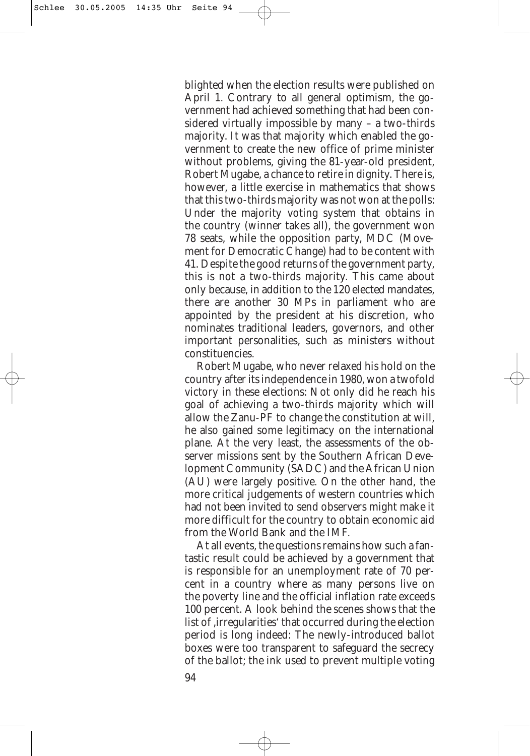blighted when the election results were published on April 1. Contrary to all general optimism, the government had achieved something that had been considered virtually impossible by many – a two-thirds majority. It was that majority which enabled the government to create the new office of prime minister without problems, giving the 81-year-old president, Robert Mugabe, a chance to retire in dignity. There is, however, a little exercise in mathematics that shows that this two-thirds majority was not won at the polls: Under the majority voting system that obtains in the country (winner takes all), the government won 78 seats, while the opposition party, MDC (Movement for Democratic Change) had to be content with 41. Despite the good returns of the government party, this is not a two-thirds majority. This came about only because, in addition to the 120 elected mandates, there are another 30 MPs in parliament who are appointed by the president at his discretion, who nominates traditional leaders, governors, and other important personalities, such as ministers without constituencies.

Robert Mugabe, who never relaxed his hold on the country after its independence in 1980, won a twofold victory in these elections: Not only did he reach his goal of achieving a two-thirds majority which will allow the Zanu-PF to change the constitution at will, he also gained some legitimacy on the international plane. At the very least, the assessments of the observer missions sent by the Southern African Development Community (SADC) and the African Union (AU) were largely positive. On the other hand, the more critical judgements of western countries which had not been invited to send observers might make it more difficult for the country to obtain economic aid from the World Bank and the IMF.

At all events, the questions remains how such a fantastic result could be achieved by a government that is responsible for an unemployment rate of 70 percent in a country where as many persons live on the poverty line and the official inflation rate exceeds 100 percent. A look behind the scenes shows that the list of ,irregularities' that occurred during the election period is long indeed: The newly-introduced ballot boxes were too transparent to safeguard the secrecy of the ballot; the ink used to prevent multiple voting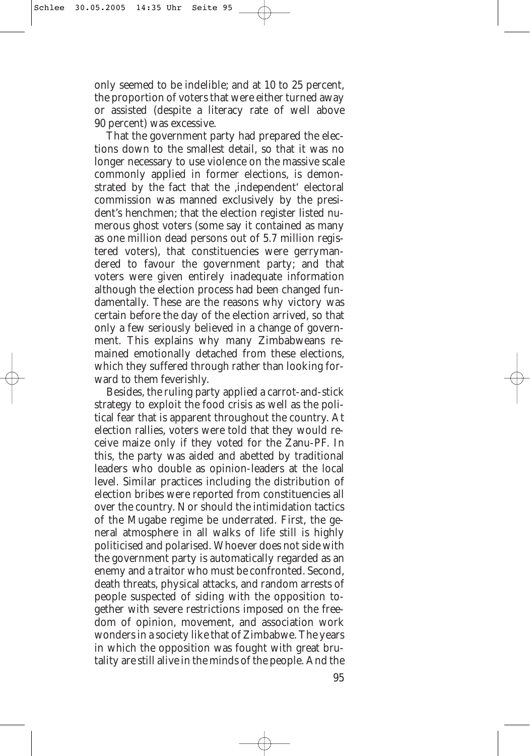only seemed to be indelible; and at 10 to 25 percent, the proportion of voters that were either turned away or assisted (despite a literacy rate of well above 90 percent) was excessive.

That the government party had prepared the elections down to the smallest detail, so that it was no longer necessary to use violence on the massive scale commonly applied in former elections, is demonstrated by the fact that the ,independent' electoral commission was manned exclusively by the president's henchmen; that the election register listed numerous ghost voters (some say it contained as many as one million dead persons out of 5.7 million registered voters), that constituencies were gerrymandered to favour the government party; and that voters were given entirely inadequate information although the election process had been changed fundamentally. These are the reasons why victory was certain before the day of the election arrived, so that only a few seriously believed in a change of government. This explains why many Zimbabweans remained emotionally detached from these elections, which they suffered through rather than looking forward to them feverishly.

Besides, the ruling party applied a carrot-and-stick strategy to exploit the food crisis as well as the political fear that is apparent throughout the country. At election rallies, voters were told that they would receive maize only if they voted for the Zanu-PF. In this, the party was aided and abetted by traditional leaders who double as opinion-leaders at the local level. Similar practices including the distribution of election bribes were reported from constituencies all over the country. Nor should the intimidation tactics of the Mugabe regime be underrated. First, the general atmosphere in all walks of life still is highly politicised and polarised. Whoever does not side with the government party is automatically regarded as an enemy and a traitor who must be confronted. Second, death threats, physical attacks, and random arrests of people suspected of siding with the opposition together with severe restrictions imposed on the freedom of opinion, movement, and association work wonders in a society like that of Zimbabwe. The years in which the opposition was fought with great brutality are still alive in the minds of the people. And the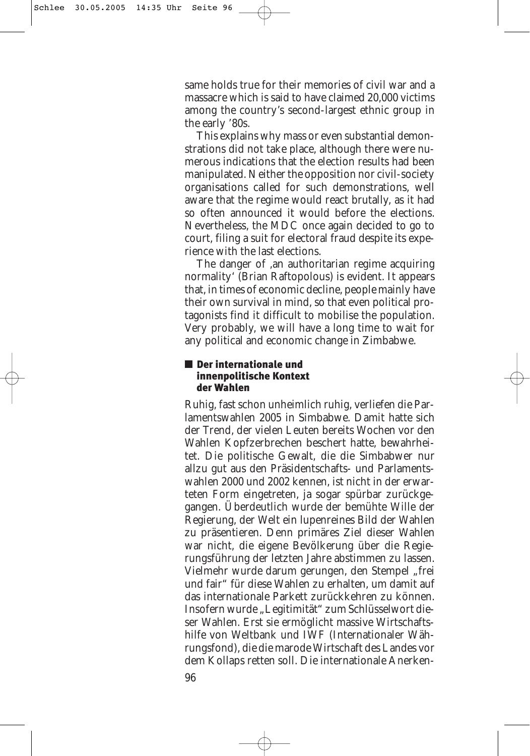same holds true for their memories of civil war and a massacre which is said to have claimed 20,000 victims among the country's second-largest ethnic group in the early '80s.

This explains why mass or even substantial demonstrations did not take place, although there were numerous indications that the election results had been manipulated. Neither the opposition nor civil-society organisations called for such demonstrations, well aware that the regime would react brutally, as it had so often announced it would before the elections. Nevertheless, the MDC once again decided to go to court, filing a suit for electoral fraud despite its experience with the last elections.

The danger of ,an authoritarian regime acquiring normality' (Brian Raftopolous) is evident. It appears that, in times of economic decline, people mainly have their own survival in mind, so that even political protagonists find it difficult to mobilise the population. Very probably, we will have a long time to wait for any political and economic change in Zimbabwe.

### Der internationale und innenpolitische Kontext der Wahlen

Ruhig, fast schon unheimlich ruhig, verliefen die Parlamentswahlen 2005 in Simbabwe. Damit hatte sich der Trend, der vielen Leuten bereits Wochen vor den Wahlen Kopfzerbrechen beschert hatte, bewahrheitet. Die politische Gewalt, die die Simbabwer nur allzu gut aus den Präsidentschafts- und Parlamentswahlen 2000 und 2002 kennen, ist nicht in der erwarteten Form eingetreten, ja sogar spürbar zurückgegangen. Überdeutlich wurde der bemühte Wille der Regierung, der Welt ein lupenreines Bild der Wahlen zu präsentieren. Denn primäres Ziel dieser Wahlen war nicht, die eigene Bevölkerung über die Regierungsführung der letzten Jahre abstimmen zu lassen. Vielmehr wurde darum gerungen, den Stempel "frei und fair" für diese Wahlen zu erhalten, um damit auf das internationale Parkett zurückkehren zu können. Insofern wurde "Legitimität" zum Schlüsselwort dieser Wahlen. Erst sie ermöglicht massive Wirtschaftshilfe von Weltbank und IWF (Internationaler Währungsfond), die die marode Wirtschaft des Landes vor dem Kollaps retten soll. Die internationale Anerken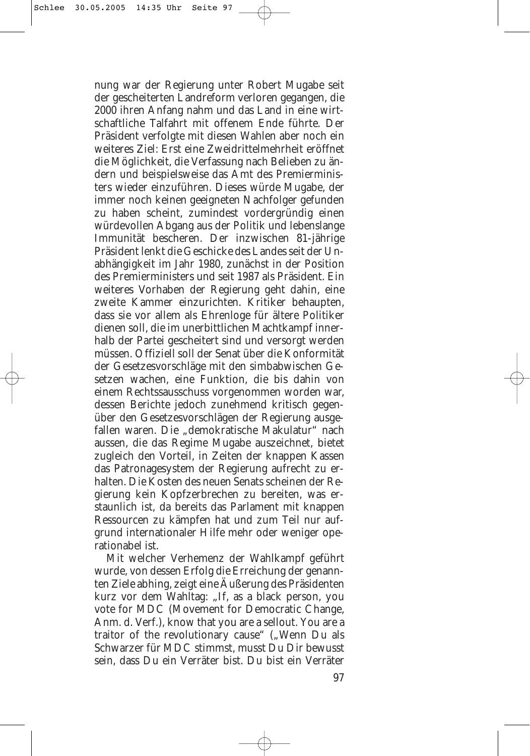nung war der Regierung unter Robert Mugabe seit der gescheiterten Landreform verloren gegangen, die 2000 ihren Anfang nahm und das Land in eine wirtschaftliche Talfahrt mit offenem Ende führte. Der Präsident verfolgte mit diesen Wahlen aber noch ein weiteres Ziel: Erst eine Zweidrittelmehrheit eröffnet die Möglichkeit, die Verfassung nach Belieben zu ändern und beispielsweise das Amt des Premierministers wieder einzuführen. Dieses würde Mugabe, der immer noch keinen geeigneten Nachfolger gefunden zu haben scheint, zumindest vordergründig einen würdevollen Abgang aus der Politik und lebenslange Immunität bescheren. Der inzwischen 81-jährige Präsident lenkt die Geschicke des Landes seit der Unabhängigkeit im Jahr 1980, zunächst in der Position des Premierministers und seit 1987 als Präsident. Ein weiteres Vorhaben der Regierung geht dahin, eine zweite Kammer einzurichten. Kritiker behaupten, dass sie vor allem als Ehrenloge für ältere Politiker dienen soll, die im unerbittlichen Machtkampf innerhalb der Partei gescheitert sind und versorgt werden müssen. Offiziell soll der Senat über die Konformität der Gesetzesvorschläge mit den simbabwischen Gesetzen wachen, eine Funktion, die bis dahin von einem Rechtssausschuss vorgenommen worden war, dessen Berichte jedoch zunehmend kritisch gegenüber den Gesetzesvorschlägen der Regierung ausgefallen waren. Die "demokratische Makulatur" nach aussen, die das Regime Mugabe auszeichnet, bietet zugleich den Vorteil, in Zeiten der knappen Kassen das Patronagesystem der Regierung aufrecht zu erhalten. Die Kosten des neuen Senats scheinen der Regierung kein Kopfzerbrechen zu bereiten, was erstaunlich ist, da bereits das Parlament mit knappen Ressourcen zu kämpfen hat und zum Teil nur aufgrund internationaler Hilfe mehr oder weniger operationabel ist.

Mit welcher Verhemenz der Wahlkampf geführt wurde, von dessen Erfolg die Erreichung der genannten Ziele abhing, zeigt eine Äußerung des Präsidenten kurz vor dem Wahltag: "If, as a black person, you vote for MDC (Movement for Democratic Change, Anm. d. Verf.), know that you are a sellout. You are a traitor of the revolutionary cause" ("Wenn Du als Schwarzer für MDC stimmst, musst Du Dir bewusst sein, dass Du ein Verräter bist. Du bist ein Verräter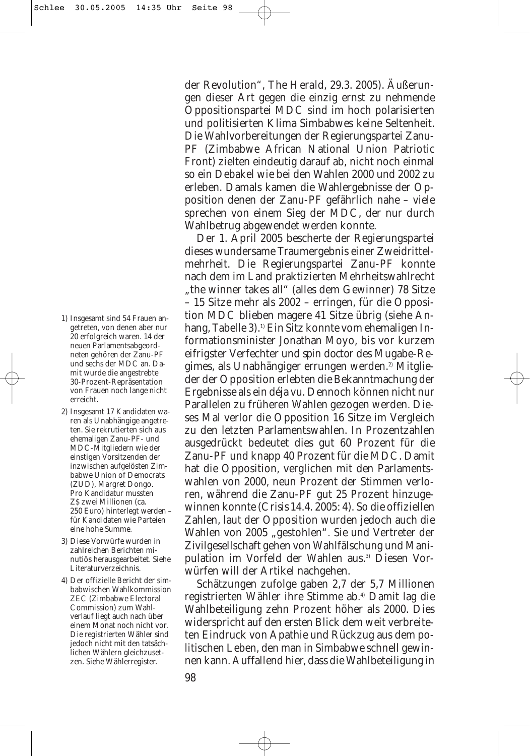- 1) Insgesamt sind 54 Frauen angetreten, von denen aber nur 20 erfolgreich waren. 14 der neuen Parlamentsabgeordneten gehören der Zanu-PF und sechs der MDC an. Damit wurde die angestrebte 30-Prozent-Repräsentation von Frauen noch lange nicht erreicht.
- 2) Insgesamt 17 Kandidaten waren als Unabhängige angetreten. Sie rekrutierten sich aus ehemaligen Zanu-PF- und MDC-Mitgliedern wie der einstigen Vorsitzenden der inzwischen aufgelösten Zimbabwe Union of Democrats (ZUD), Margret Dongo. Pro Kandidatur mussten Z\$ zwei Millionen (ca. 250 Euro) hinterlegt werden – für Kandidaten wie Parteien eine hohe Summe.
- 3) Diese Vorwürfe wurden in zahlreichen Berichten minutiös herausgearbeitet. Siehe Literaturverzeichnis.
- 4) Der offizielle Bericht der simbabwischen Wahlkommission ZEC (Zimbabwe Electoral Commission) zum Wahlverlauf liegt auch nach über einem Monat noch nicht vor. Die registrierten Wähler sind jedoch nicht mit den tatsächlichen Wählern gleichzusetzen. Siehe Wählerregister.

der Revolution", *The Herald*, 29.3. 2005). Äußerungen dieser Art gegen die einzig ernst zu nehmende Oppositionspartei MDC sind im hoch polarisierten und politisierten Klima Simbabwes keine Seltenheit. Die Wahlvorbereitungen der Regierungspartei Zanu-PF (Zimbabwe African National Union Patriotic Front) zielten eindeutig darauf ab, nicht noch einmal so ein Debakel wie bei den Wahlen 2000 und 2002 zu erleben. Damals kamen die Wahlergebnisse der Opposition denen der Zanu-PF gefährlich nahe – viele sprechen von einem Sieg der MDC, der nur durch Wahlbetrug abgewendet werden konnte.

Der 1. April 2005 bescherte der Regierungspartei dieses wundersame Traumergebnis einer Zweidrittelmehrheit. Die Regierungspartei Zanu-PF konnte nach dem im Land praktizierten Mehrheitswahlrecht "the winner takes all" (alles dem Gewinner) 78 Sitze – 15 Sitze mehr als 2002 – erringen, für die Opposition MDC blieben magere 41 Sitze übrig (siehe Anhang, Tabelle 3).<sup>1)</sup> Ein Sitz konnte vom ehemaligen Informationsminister Jonathan Moyo, bis vor kurzem eifrigster Verfechter und *spin doctor* des Mugabe-Regimes, als Unabhängiger errungen werden.<sup>2)</sup> Mitglieder der Opposition erlebten die Bekanntmachung der Ergebnisse als ein déja vu. Dennoch können nicht nur Parallelen zu früheren Wahlen gezogen werden. Dieses Mal verlor die Opposition 16 Sitze im Vergleich zu den letzten Parlamentswahlen. In Prozentzahlen ausgedrückt bedeutet dies gut 60 Prozent für die Zanu-PF und knapp 40 Prozent für die MDC. Damit hat die Opposition, verglichen mit den Parlamentswahlen von 2000, neun Prozent der Stimmen verloren, während die Zanu-PF gut 25 Prozent hinzugewinnen konnte (*Crisis* 14.4. 2005: 4). So die offiziellen Zahlen, laut der Opposition wurden jedoch auch die Wahlen von 2005 "gestohlen". Sie und Vertreter der Zivilgesellschaft gehen von Wahlfälschung und Manipulation im Vorfeld der Wahlen aus.3) Diesen Vorwürfen will der Artikel nachgehen.

Schätzungen zufolge gaben 2,7 der 5,7 Millionen registrierten Wähler ihre Stimme ab.4) Damit lag die Wahlbeteiligung zehn Prozent höher als 2000. Dies widerspricht auf den ersten Blick dem weit verbreiteten Eindruck von Apathie und Rückzug aus dem politischen Leben, den man in Simbabwe schnell gewinnen kann. Auffallend hier, dass die Wahlbeteiligung in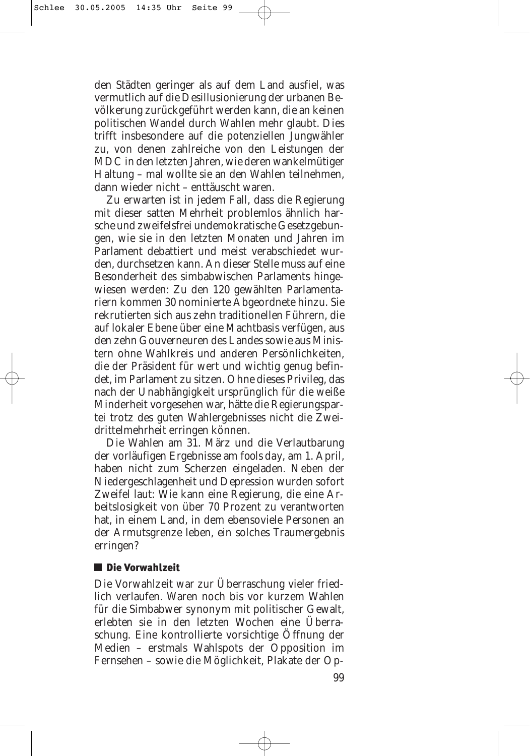den Städten geringer als auf dem Land ausfiel, was vermutlich auf die Desillusionierung der urbanen Bevölkerung zurückgeführt werden kann, die an keinen politischen Wandel durch Wahlen mehr glaubt. Dies trifft insbesondere auf die potenziellen Jungwähler zu, von denen zahlreiche von den Leistungen der MDC in den letzten Jahren, wie deren wankelmütiger Haltung – mal wollte sie an den Wahlen teilnehmen, dann wieder nicht – enttäuscht waren.

Zu erwarten ist in jedem Fall, dass die Regierung mit dieser satten Mehrheit problemlos ähnlich harsche und zweifelsfrei undemokratische Gesetzgebungen, wie sie in den letzten Monaten und Jahren im Parlament debattiert und meist verabschiedet wurden, durchsetzen kann. An dieser Stelle muss auf eine Besonderheit des simbabwischen Parlaments hingewiesen werden: Zu den 120 gewählten Parlamentariern kommen 30 nominierte Abgeordnete hinzu. Sie rekrutierten sich aus zehn traditionellen Führern, die auf lokaler Ebene über eine Machtbasis verfügen, aus den zehn Gouverneuren des Landes sowie aus Ministern ohne Wahlkreis und anderen Persönlichkeiten, die der Präsident für wert und wichtig genug befindet, im Parlament zu sitzen. Ohne dieses Privileg, das nach der Unabhängigkeit ursprünglich für die weiße Minderheit vorgesehen war, hätte die Regierungspartei trotz des guten Wahlergebnisses nicht die Zweidrittelmehrheit erringen können.

Die Wahlen am 31. März und die Verlautbarung der vorläufigen Ergebnisse am *fools day*, am 1. April, haben nicht zum Scherzen eingeladen. Neben der Niedergeschlagenheit und Depression wurden sofort Zweifel laut: Wie kann eine Regierung, die eine Arbeitslosigkeit von über 70 Prozent zu verantworten hat, in einem Land, in dem ebensoviele Personen an der Armutsgrenze leben, ein solches Traumergebnis erringen?

# ■ Die Vorwahlzeit

Die Vorwahlzeit war zur Überraschung vieler friedlich verlaufen. Waren noch bis vor kurzem Wahlen für die Simbabwer synonym mit politischer Gewalt, erlebten sie in den letzten Wochen eine Überraschung. Eine kontrollierte vorsichtige Öffnung der Medien – erstmals Wahlspots der Opposition im Fernsehen – sowie die Möglichkeit, Plakate der Op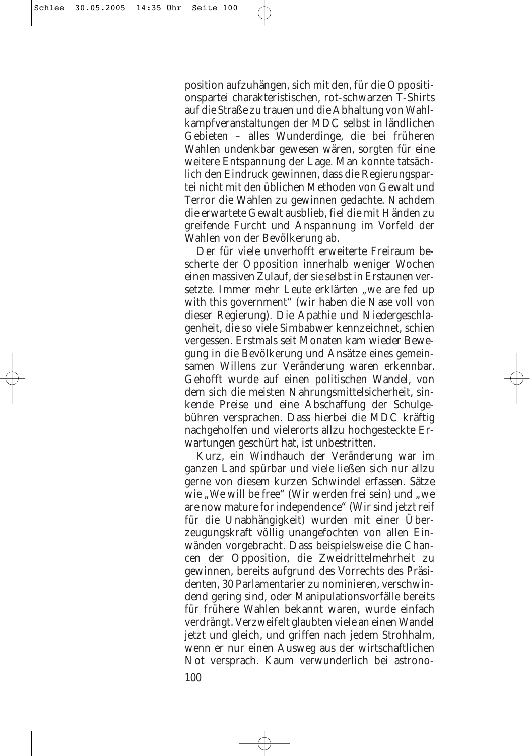position aufzuhängen, sich mit den, für die Oppositionspartei charakteristischen, rot-schwarzen T-Shirts auf die Straße zu trauen und die Abhaltung von Wahlkampfveranstaltungen der MDC selbst in ländlichen Gebieten – alles Wunderdinge, die bei früheren Wahlen undenkbar gewesen wären, sorgten für eine weitere Entspannung der Lage. Man konnte tatsächlich den Eindruck gewinnen, dass die Regierungspartei nicht mit den üblichen Methoden von Gewalt und Terror die Wahlen zu gewinnen gedachte. Nachdem die erwartete Gewalt ausblieb, fiel die mit Händen zu greifende Furcht und Anspannung im Vorfeld der Wahlen von der Bevölkerung ab.

Der für viele unverhofft erweiterte Freiraum bescherte der Opposition innerhalb weniger Wochen einen massiven Zulauf, der sie selbst in Erstaunen versetzte. Immer mehr Leute erklärten "we are fed up with this government" (wir haben die Nase voll von dieser Regierung). Die Apathie und Niedergeschlagenheit, die so viele Simbabwer kennzeichnet, schien vergessen. Erstmals seit Monaten kam wieder Bewegung in die Bevölkerung und Ansätze eines gemeinsamen Willens zur Veränderung waren erkennbar. Gehofft wurde auf einen politischen Wandel, von dem sich die meisten Nahrungsmittelsicherheit, sinkende Preise und eine Abschaffung der Schulgebühren versprachen. Dass hierbei die MDC kräftig nachgeholfen und vielerorts allzu hochgesteckte Erwartungen geschürt hat, ist unbestritten.

Kurz, ein Windhauch der Veränderung war im ganzen Land spürbar und viele ließen sich nur allzu gerne von diesem kurzen Schwindel erfassen. Sätze wie "We will be free" (Wir werden frei sein) und "we are now mature for independence" (Wir sind jetzt reif für die Unabhängigkeit) wurden mit einer Überzeugungskraft völlig unangefochten von allen Einwänden vorgebracht. Dass beispielsweise die Chancen der Opposition, die Zweidrittelmehrheit zu gewinnen, bereits aufgrund des Vorrechts des Präsidenten, 30 Parlamentarier zu nominieren, verschwindend gering sind, oder Manipulationsvorfälle bereits für frühere Wahlen bekannt waren, wurde einfach verdrängt. Verzweifelt glaubten viele an einen Wandel jetzt und gleich, und griffen nach jedem Strohhalm, wenn er nur einen Ausweg aus der wirtschaftlichen Not versprach. Kaum verwunderlich bei astrono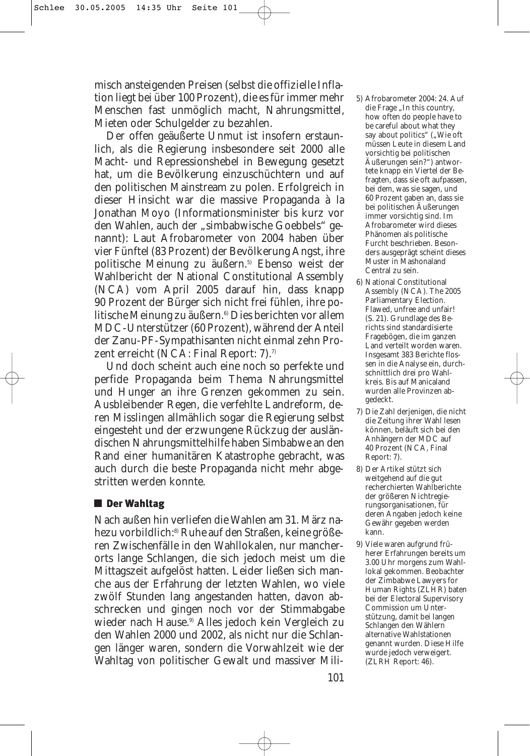misch ansteigenden Preisen (selbst die offizielle Inflation liegt bei über 100 Prozent), die es für immer mehr Menschen fast unmöglich macht, Nahrungsmittel, Mieten oder Schulgelder zu bezahlen.

Der offen geäußerte Unmut ist insofern erstaunlich, als die Regierung insbesondere seit 2000 alle Macht- und Repressionshebel in Bewegung gesetzt hat, um die Bevölkerung einzuschüchtern und auf den politischen Mainstream zu polen. Erfolgreich in dieser Hinsicht war die massive Propaganda à la Jonathan Moyo (Informationsminister bis kurz vor den Wahlen, auch der "simbabwische Goebbels" genannt): Laut Afrobarometer von 2004 haben über vier Fünftel (83 Prozent) der Bevölkerung Angst, ihre politische Meinung zu äußern.<sup>5)</sup> Ebenso weist der Wahlbericht der National Constitutional Assembly (NCA) vom April 2005 darauf hin, dass knapp 90 Prozent der Bürger sich nicht frei fühlen, ihre politische Meinung zu äußern.<sup>6)</sup> Dies berichten vor allem MDC-Unterstützer (60 Prozent), während der Anteil der Zanu-PF-Sympathisanten nicht einmal zehn Prozent erreicht (NCA: Final Report: 7).<sup>7)</sup>

Und doch scheint auch eine noch so perfekte und perfide Propaganda beim Thema Nahrungsmittel und Hunger an ihre Grenzen gekommen zu sein. Ausbleibender Regen, die verfehlte Landreform, deren Misslingen allmählich sogar die Regierung selbst eingesteht und der erzwungene Rückzug der ausländischen Nahrungsmittelhilfe haben Simbabwe an den Rand einer humanitären Katastrophe gebracht, was auch durch die beste Propaganda nicht mehr abgestritten werden konnte.

# **■ Der Wahltag**

Nach außen hin verliefen die Wahlen am 31. März nahezu vorbildlich:8) Ruhe auf den Straßen, keine größeren Zwischenfälle in den Wahllokalen, nur mancherorts lange Schlangen, die sich jedoch meist um die Mittagszeit aufgelöst hatten. Leider ließen sich manche aus der Erfahrung der letzten Wahlen, wo viele zwölf Stunden lang angestanden hatten, davon abschrecken und gingen noch vor der Stimmabgabe wieder nach Hause.<sup>9)</sup> Alles jedoch kein Vergleich zu den Wahlen 2000 und 2002, als nicht nur die Schlangen länger waren, sondern die Vorwahlzeit wie der Wahltag von politischer Gewalt und massiver Mili-

- 5) Afrobarometer 2004: 24. Auf die Frage ..In this country, how often do people have to be careful about what they say about politics" ("Wie oft müssen Leute in diesem Land vorsichtig bei politischen Äußerungen sein?") antwortete knapp ein Viertel der Befragten, dass sie oft aufpassen, bei dem, was sie sagen, und 60 Prozent gaben an, dass sie bei politischen Äußerungen immer vorsichtig sind. Im Afrobarometer wird dieses Phänomen als politische Furcht beschrieben. Besonders ausgeprägt scheint dieses Muster in Mashonaland Central zu sein.
- 6) National Constitutional Assembly (NCA). The 2005 Parliamentary Election. Flawed, unfree and unfair! (S. 21). Grundlage des Berichts sind standardisierte Fragebögen, die im ganzen Land verteilt worden waren. Insgesamt 383 Berichte flossen in die Analyse ein, durchschnittlich drei pro Wahlkreis. Bis auf Manicaland wurden alle Provinzen abgedeckt.
- 7) Die Zahl derjenigen, die nicht die Zeitung ihrer Wahl lesen können, beläuft sich bei den Anhängern der MDC auf 40 Prozent (NCA, Final Report: 7).
- 8) Der Artikel stützt sich weitgehend auf die gut recherchierten Wahlberichte der größeren Nichtregierungsorganisationen, für deren Angaben jedoch keine Gewähr gegeben werden kann.
- 9) Viele waren aufgrund früherer Erfahrungen bereits um 3.00 Uhr morgens zum Wahllokal gekommen. Beobachter der Zimbabwe Lawyers for Human Rights (ZLHR) baten bei der Electoral Supervisory Commission um Unterstützung, damit bei langen Schlangen den Wählern alternative Wahlstationen genannt wurden. Diese Hilfe wurde jedoch verweigert. (ZLRH Report: 46).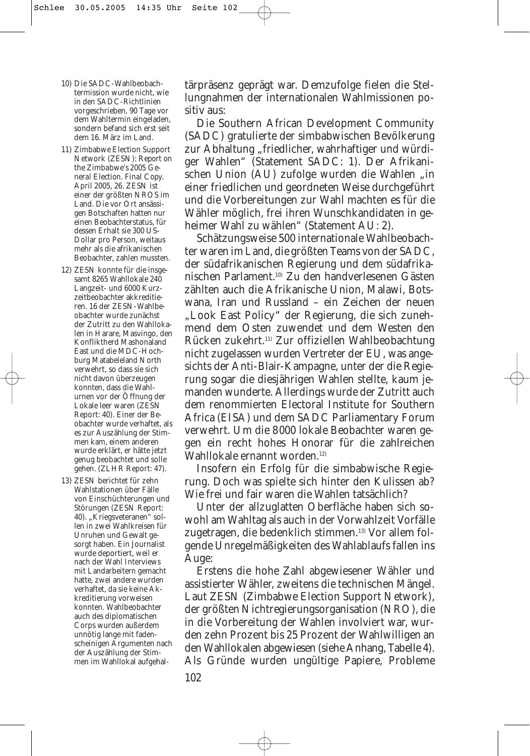- 10) Die SADC-Wahlbeobachtermission wurde nicht, wie in den SADC-Richtlinien vorgeschrieben, 90 Tage vor dem Wahltermin eingeladen, sondern befand sich erst seit dem 16. März im Land.
- 11) Zimbabwe Election Support Network (ZESN): *Report on the Zimbabwe's 2005 General Election. Final Copy.* April 2005, 26. ZESN ist einer der größten NROS im Land. Die vor Ort ansässigen Botschaften hatten nur einen Beobachterstatus, für dessen Erhalt sie 300 US-Dollar pro Person, weitaus mehr als die afrikanischen Beobachter, zahlen mussten.
- 12) ZESN konnte für die insgesamt 8265 Wahllokale 240 Langzeit- und 6000 Kurzzeitbeobachter akkreditieren. 16 der ZESN-Wahlbeobachter wurde zunächst der Zutritt zu den Wahllokalen in Harare, Masvingo, den Konfliktherd Mashonaland East und die MDC-Hochburg Matabeleland North verwehrt, so dass sie sich nicht davon überzeugen konnten, dass die Wahlurnen vor der Öffnung der Lokale leer waren (ZESN Report: 40). Einer der Beobachter wurde verhaftet, als es zur Auszählung der Stimmen kam, einem anderen wurde erklärt, er hätte jetzt genug beobachtet und solle gehen. (ZLHR Report: 47).
- 13) ZESN berichtet für zehn Wahlstationen über Fälle von Einschüchterungen und Störungen (ZESN Report: 40). "Kriegsveteranen" sollen in zwei Wahlkreisen für Unruhen und Gewalt gesorgt haben. Ein Journalist wurde deportiert, weil er nach der Wahl Interviews mit Landarbeitern gemacht hatte, zwei andere wurden verhaftet, da sie keine Akkreditierung vorweisen konnten. Wahlbeobachter auch des diplomatischen Corps wurden außerdem unnötig lange mit fadenscheinigen Argumenten nach der Auszählung der Stimmen im Wahllokal aufgehal-

tärpräsenz geprägt war. Demzufolge fielen die Stellungnahmen der internationalen Wahlmissionen positiv aus:

Die Southern African Development Community (SADC) gratulierte der simbabwischen Bevölkerung zur Abhaltung "friedlicher, wahrhaftiger und würdiger Wahlen" (Statement SADC: 1). Der Afrikanischen Union (AU) zufolge wurden die Wahlen "in einer friedlichen und geordneten Weise durchgeführt und die Vorbereitungen zur Wahl machten es für die Wähler möglich, frei ihren Wunschkandidaten in geheimer Wahl zu wählen" (Statement AU: 2).

Schätzungsweise 500 internationale Wahlbeobachter waren im Land, die größten Teams von der SADC, der südafrikanischen Regierung und dem südafrikanischen Parlament.10) Zu den handverlesenen Gästen zählten auch die Afrikanische Union, Malawi, Botswana, Iran und Russland – ein Zeichen der neuen "Look East Policy" der Regierung, die sich zunehmend dem Osten zuwendet und dem Westen den Rücken zukehrt.11) Zur offiziellen Wahlbeobachtung nicht zugelassen wurden Vertreter der EU, was angesichts der Anti-Blair-Kampagne, unter der die Regierung sogar die diesjährigen Wahlen stellte, kaum jemanden wunderte. Allerdings wurde der Zutritt auch dem renommierten Electoral Institute for Southern Africa (EISA) und dem SADC Parliamentary Forum verwehrt. Um die 8000 lokale Beobachter waren gegen ein recht hohes Honorar für die zahlreichen Wahllokale ernannt worden.<sup>12)</sup>

Insofern ein Erfolg für die simbabwische Regierung. Doch was spielte sich hinter den Kulissen ab? Wie frei und fair waren die Wahlen tatsächlich?

Unter der allzuglatten Oberfläche haben sich sowohl am Wahltag als auch in der Vorwahlzeit Vorfälle zugetragen, die bedenklich stimmen.<sup>13)</sup> Vor allem folgende Unregelmäßigkeiten des Wahlablaufs fallen ins Auge:

Erstens die hohe Zahl abgewiesener Wähler und assistierter Wähler, zweitens die technischen Mängel. Laut ZESN (Zimbabwe Election Support Network), der größten Nichtregierungsorganisation (NRO), die in die Vorbereitung der Wahlen involviert war, wurden zehn Prozent bis 25 Prozent der Wahlwilligen an den Wahllokalen abgewiesen (siehe Anhang, Tabelle 4). Als Gründe wurden ungültige Papiere, Probleme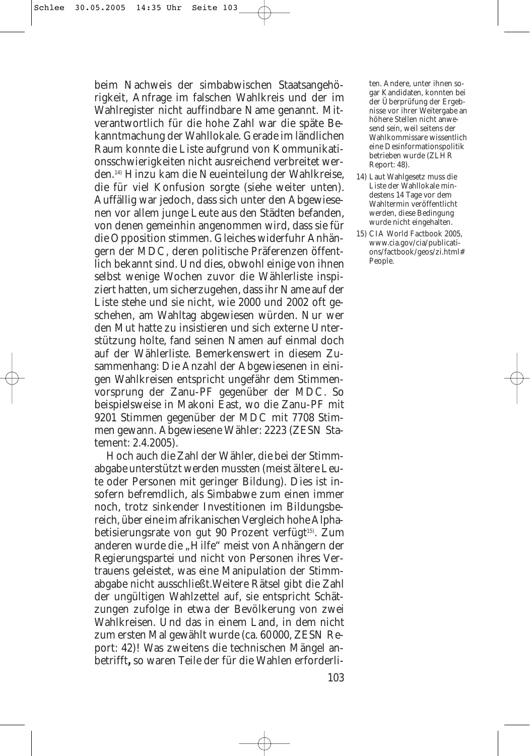beim Nachweis der simbabwischen Staatsangehörigkeit, Anfrage im falschen Wahlkreis und der im Wahlregister nicht auffindbare Name genannt. Mitverantwortlich für die hohe Zahl war die späte Bekanntmachung der Wahllokale. Gerade im ländlichen Raum konnte die Liste aufgrund von Kommunikationsschwierigkeiten nicht ausreichend verbreitet werden.14) Hinzu kam die Neueinteilung der Wahlkreise, die für viel Konfusion sorgte (siehe weiter unten). Auffällig war jedoch, dass sich unter den Abgewiesenen vor allem junge Leute aus den Städten befanden, von denen gemeinhin angenommen wird, dass sie für die Opposition stimmen. Gleiches widerfuhr Anhängern der MDC, deren politische Präferenzen öffentlich bekannt sind. Und dies, obwohl einige von ihnen selbst wenige Wochen zuvor die Wählerliste inspiziert hatten, um sicherzugehen, dass ihr Name auf der Liste stehe und sie nicht, wie 2000 und 2002 oft geschehen, am Wahltag abgewiesen würden. Nur wer den Mut hatte zu insistieren und sich externe Unterstützung holte, fand seinen Namen auf einmal doch auf der Wählerliste. Bemerkenswert in diesem Zusammenhang: Die Anzahl der Abgewiesenen in einigen Wahlkreisen entspricht ungefähr dem Stimmenvorsprung der Zanu-PF gegenüber der MDC. So beispielsweise in Makoni East, wo die Zanu-PF mit 9201 Stimmen gegenüber der MDC mit 7708 Stimmen gewann. Abgewiesene Wähler: 2223 (ZESN Statement: 2.4.2005).

Hoch auch die Zahl der Wähler, die bei der Stimmabgabe unterstützt werden mussten (meist ältere Leute oder Personen mit geringer Bildung). Dies ist insofern befremdlich, als Simbabwe zum einen immer noch, trotz sinkender Investitionen im Bildungsbereich, über eine im afrikanischen Vergleich hohe Alphabetisierungsrate von gut 90 Prozent verfügt<sup>15)</sup>. Zum anderen wurde die "Hilfe" meist von Anhängern der Regierungspartei und nicht von Personen ihres Vertrauens geleistet, was eine Manipulation der Stimmabgabe nicht ausschließt.Weitere Rätsel gibt die Zahl der ungültigen Wahlzettel auf, sie entspricht Schätzungen zufolge in etwa der Bevölkerung von zwei Wahlkreisen. Und das in einem Land, in dem nicht zum ersten Mal gewählt wurde (ca. 60000, ZESN Report: 42)! Was zweitens die technischen Mängel anbetrifft**,** so waren Teile der für die Wahlen erforderli-

ten. Andere, unter ihnen sogar Kandidaten, konnten bei der Überprüfung der Ergebnisse vor ihrer Weitergabe an höhere Stellen nicht anwesend sein, weil seitens der Wahlkommissare wissentlich eine Desinformationspolitik betrieben wurde (ZLHR Report: 48).

- 14) Laut Wahlgesetz muss die Liste der Wahllokale mindestens 14 Tage vor dem Wahltermin veröffentlicht werden, diese Bedingung wurde nicht eingehalten.
- 15) CIA World Factbook 2005, www.cia.gov/cia/publications/factbook/geos/zi.html# People.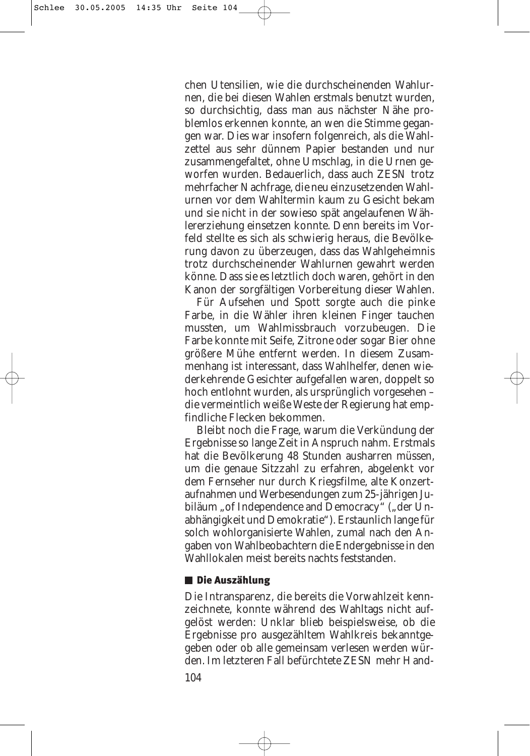chen Utensilien, wie die durchscheinenden Wahlurnen, die bei diesen Wahlen erstmals benutzt wurden, so durchsichtig, dass man aus nächster Nähe problemlos erkennen konnte, an wen die Stimme gegangen war. Dies war insofern folgenreich, als die Wahlzettel aus sehr dünnem Papier bestanden und nur zusammengefaltet, ohne Umschlag, in die Urnen geworfen wurden. Bedauerlich, dass auch ZESN trotz mehrfacher Nachfrage, die neu einzusetzenden Wahlurnen vor dem Wahltermin kaum zu Gesicht bekam und sie nicht in der sowieso spät angelaufenen Wählererziehung einsetzen konnte. Denn bereits im Vorfeld stellte es sich als schwierig heraus, die Bevölkerung davon zu überzeugen, dass das Wahlgeheimnis trotz durchscheinender Wahlurnen gewahrt werden könne. Dass sie es letztlich doch waren, gehört in den Kanon der sorgfältigen Vorbereitung dieser Wahlen.

Für Aufsehen und Spott sorgte auch die pinke Farbe, in die Wähler ihren kleinen Finger tauchen mussten, um Wahlmissbrauch vorzubeugen. Die Farbe konnte mit Seife, Zitrone oder sogar Bier ohne größere Mühe entfernt werden. In diesem Zusammenhang ist interessant, dass Wahlhelfer, denen wiederkehrende Gesichter aufgefallen waren, doppelt so hoch entlohnt wurden, als ursprünglich vorgesehen – die vermeintlich weiße Weste der Regierung hat empfindliche Flecken bekommen.

Bleibt noch die Frage, warum die Verkündung der Ergebnisse so lange Zeit in Anspruch nahm. Erstmals hat die Bevölkerung 48 Stunden ausharren müssen, um die genaue Sitzzahl zu erfahren, abgelenkt vor dem Fernseher nur durch Kriegsfilme, alte Konzertaufnahmen und Werbesendungen zum 25-jährigen Jubiläum "of Independence and Democracy" ("der Unabhängigkeit und Demokratie"). Erstaunlich lange für solch wohlorganisierte Wahlen, zumal nach den Angaben von Wahlbeobachtern die Endergebnisse in den Wahllokalen meist bereits nachts feststanden.

# ■ Die Auszählung

Die Intransparenz, die bereits die Vorwahlzeit kennzeichnete, konnte während des Wahltags nicht aufgelöst werden: Unklar blieb beispielsweise, ob die Ergebnisse pro ausgezähltem Wahlkreis bekanntgegeben oder ob alle gemeinsam verlesen werden würden. Im letzteren Fall befürchtete ZESN mehr Hand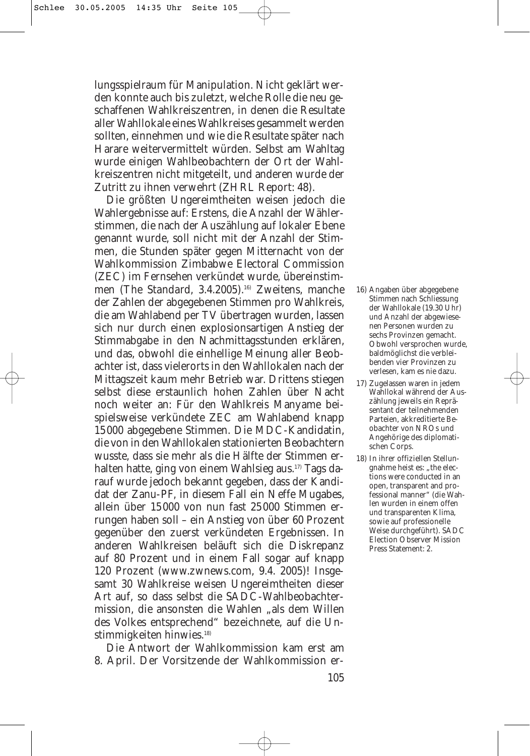lungsspielraum für Manipulation. Nicht geklärt werden konnte auch bis zuletzt, welche Rolle die neu geschaffenen Wahlkreiszentren, in denen die Resultate aller Wahllokale eines Wahlkreises gesammelt werden sollten, einnehmen und wie die Resultate später nach Harare weitervermittelt würden. Selbst am Wahltag wurde einigen Wahlbeobachtern der Ort der Wahlkreiszentren nicht mitgeteilt, und anderen wurde der Zutritt zu ihnen verwehrt (ZHRL Report: 48).

Die größten Ungereimtheiten weisen jedoch die Wahlergebnisse auf: Erstens, die Anzahl der Wählerstimmen, die nach der Auszählung auf lokaler Ebene genannt wurde, soll nicht mit der Anzahl der Stimmen, die Stunden später gegen Mitternacht von der Wahlkommission Zimbabwe Electoral Commission (ZEC) im Fernsehen verkündet wurde, übereinstimmen (*The Standard*, 3.4.2005).<sup>16)</sup> Zweitens, manche der Zahlen der abgegebenen Stimmen pro Wahlkreis, die am Wahlabend per TV übertragen wurden, lassen sich nur durch einen explosionsartigen Anstieg der Stimmabgabe in den Nachmittagsstunden erklären, und das, obwohl die einhellige Meinung aller Beobachter ist, dass vielerorts in den Wahllokalen nach der Mittagszeit kaum mehr Betrieb war. Drittens stiegen selbst diese erstaunlich hohen Zahlen über Nacht noch weiter an: Für den Wahlkreis Manyame beispielsweise verkündete ZEC am Wahlabend knapp 15000 abgegebene Stimmen. Die MDC-Kandidatin, die von in den Wahllokalen stationierten Beobachtern wusste, dass sie mehr als die Hälfte der Stimmen erhalten hatte, ging von einem Wahlsieg aus.<sup>17)</sup> Tags darauf wurde jedoch bekannt gegeben, dass der Kandidat der Zanu-PF, in diesem Fall ein Neffe Mugabes, allein über 15000 von nun fast 25000 Stimmen errungen haben soll – ein Anstieg von über 60 Prozent gegenüber den zuerst verkündeten Ergebnissen. In anderen Wahlkreisen beläuft sich die Diskrepanz auf 80 Prozent und in einem Fall sogar auf knapp 120 Prozent (www.zwnews.com, 9.4. 2005)! Insgesamt 30 Wahlkreise weisen Ungereimtheiten dieser Art auf, so dass selbst die SADC-Wahlbeobachtermission, die ansonsten die Wahlen "als dem Willen des Volkes entsprechend" bezeichnete, auf die Unstimmigkeiten hinwies.<sup>18)</sup>

Die Antwort der Wahlkommission kam erst am 8. April. Der Vorsitzende der Wahlkommission er-

- 16) Angaben über abgegebene Stimmen nach Schliessung der Wahllokale (19.30 Uhr) und Anzahl der abgewiesenen Personen wurden zu sechs Provinzen gemacht. Obwohl versprochen wurde, baldmöglichst die verbleibenden vier Provinzen zu verlesen, kam es nie dazu.
- 17) Zugelassen waren in jedem Wahllokal während der Auszählung jeweils ein Repräsentant der teilnehmenden Parteien, akkreditierte Beobachter von NROs und Angehörige des diplomatischen Corps.
- 18) In ihrer offiziellen Stellungnahme heist es: "the elections were conducted in an open, transparent and professional manner" (die Wahlen wurden in einem offen und transparenten Klima, sowie auf professionelle Weise durchgeführt). SADC Election Observer Mission Press Statement: 2.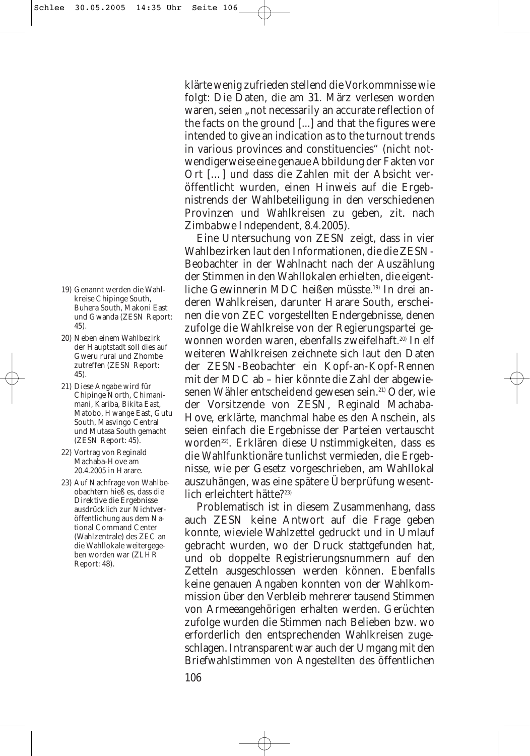- 19) Genannt werden die Wahlkreise Chipinge South, Buhera South, Makoni East und Gwanda (ZESN Report: 45).
- 20) Neben einem Wahlbezirk der Hauptstadt soll dies auf Gweru rural und Zhombe zutreffen (ZESN Report: 45).
- 21) Diese Angabe wird für Chipinge North, Chimanimani, Kariba, Bikita East, Matobo, Hwange East, Gutu South, Masvingo Central und Mutasa South gemacht (ZESN Report: 45).
- 22) Vortrag von Reginald Machaba-Hove am 20.4.2005 in Harare.
- 23) Auf Nachfrage von Wahlbeobachtern hieß es, dass die Direktive die Ergebnisse ausdrücklich zur Nichtveröffentlichung aus dem National Command Center (Wahlzentrale) des ZEC an die Wahllokale weitergegeben worden war (ZLHR Report: 48).

klärte wenig zufrieden stellend die Vorkommnisse wie folgt: Die Daten, die am 31. März verlesen worden waren, seien "not necessarily an accurate reflection of the facts on the ground [...] and that the figures were intended to give an indication as to the turnout trends in various provinces and constituencies" (nicht notwendigerweise eine genaue Abbildung der Fakten vor Ort […] und dass die Zahlen mit der Absicht veröffentlicht wurden, einen Hinweis auf die Ergebnistrends der Wahlbeteiligung in den verschiedenen Provinzen und Wahlkreisen zu geben, zit. nach *Zimbabwe Independent*, 8.4.2005).

Eine Untersuchung von ZESN zeigt, dass in vier Wahlbezirken laut den Informationen, die die ZESN-Beobachter in der Wahlnacht nach der Auszählung der Stimmen in den Wahllokalen erhielten, die eigentliche Gewinnerin MDC heißen müsste.<sup>19)</sup> In drei anderen Wahlkreisen, darunter Harare South, erscheinen die von ZEC vorgestellten Endergebnisse, denen zufolge die Wahlkreise von der Regierungspartei gewonnen worden waren, ebenfalls zweifelhaft.<sup>20)</sup> In elf weiteren Wahlkreisen zeichnete sich laut den Daten der ZESN-Beobachter ein Kopf-an-Kopf-Rennen mit der MDC ab – hier könnte die Zahl der abgewiesenen Wähler entscheidend gewesen sein.<sup>21)</sup> Oder, wie der Vorsitzende von ZESN, Reginald Machaba-Hove, erklärte, manchmal habe es den Anschein, als seien einfach die Ergebnisse der Parteien vertauscht worden22). Erklären diese Unstimmigkeiten, dass es die Wahlfunktionäre tunlichst vermieden, die Ergebnisse, wie per Gesetz vorgeschrieben, am Wahllokal auszuhängen, was eine spätere Überprüfung wesentlich erleichtert hätte?23)

Problematisch ist in diesem Zusammenhang, dass auch ZESN keine Antwort auf die Frage geben konnte, wieviele Wahlzettel gedruckt und in Umlauf gebracht wurden, wo der Druck stattgefunden hat, und ob doppelte Registrierungsnummern auf den Zetteln ausgeschlossen werden können. Ebenfalls keine genauen Angaben konnten von der Wahlkommission über den Verbleib mehrerer tausend Stimmen von Armeeangehörigen erhalten werden. Gerüchten zufolge wurden die Stimmen nach Belieben bzw. wo erforderlich den entsprechenden Wahlkreisen zugeschlagen. Intransparent war auch der Umgang mit den Briefwahlstimmen von Angestellten des öffentlichen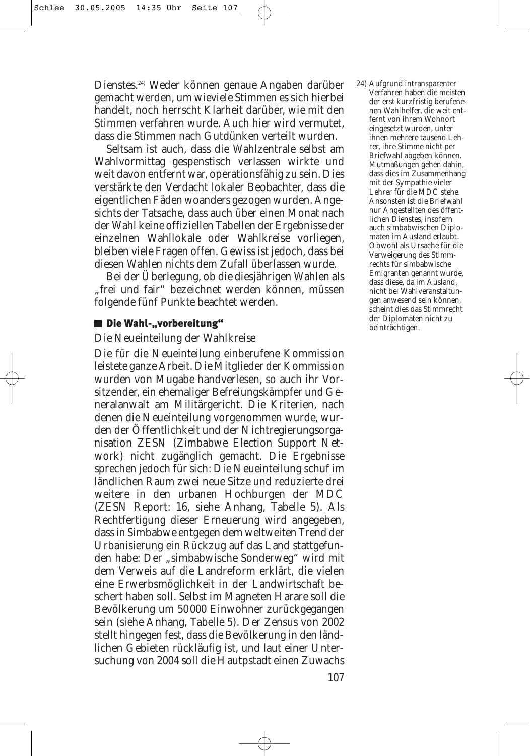Dienstes.24) Weder können genaue Angaben darüber gemacht werden, um wieviele Stimmen es sich hierbei handelt, noch herrscht Klarheit darüber, wie mit den Stimmen verfahren wurde. Auch hier wird vermutet, dass die Stimmen nach Gutdünken verteilt wurden.

Seltsam ist auch, dass die Wahlzentrale selbst am Wahlvormittag gespenstisch verlassen wirkte und weit davon entfernt war, operationsfähig zu sein. Dies verstärkte den Verdacht lokaler Beobachter, dass die eigentlichen Fäden woanders gezogen wurden. Angesichts der Tatsache, dass auch über einen Monat nach der Wahl keine offiziellen Tabellen der Ergebnisse der einzelnen Wahllokale oder Wahlkreise vorliegen, bleiben viele Fragen offen. Gewiss ist jedoch, dass bei diesen Wahlen nichts dem Zufall überlassen wurde.

Bei der Überlegung, ob die diesjährigen Wahlen als "frei und fair" bezeichnet werden können, müssen folgende fünf Punkte beachtet werden.

### Die Wahl-"vorbereitung"

### *Die Neueinteilung der Wahlkreise*

Die für die Neueinteilung einberufene Kommission leistete ganze Arbeit. Die Mitglieder der Kommission wurden von Mugabe handverlesen, so auch ihr Vorsitzender, ein ehemaliger Befreiungskämpfer und Generalanwalt am Militärgericht. Die Kriterien, nach denen die Neueinteilung vorgenommen wurde, wurden der Öffentlichkeit und der Nichtregierungsorganisation ZESN (Zimbabwe Election Support Network) nicht zugänglich gemacht. Die Ergebnisse sprechen jedoch für sich: Die Neueinteilung schuf im ländlichen Raum zwei neue Sitze und reduzierte drei weitere in den urbanen Hochburgen der MDC (ZESN Report: 16, siehe Anhang, Tabelle 5). Als Rechtfertigung dieser Erneuerung wird angegeben, dass in Simbabwe entgegen dem weltweiten Trend der Urbanisierung ein Rückzug auf das Land stattgefunden habe: Der "simbabwische Sonderweg" wird mit dem Verweis auf die Landreform erklärt, die vielen eine Erwerbsmöglichkeit in der Landwirtschaft beschert haben soll. Selbst im Magneten Harare soll die Bevölkerung um 50000 Einwohner zurückgegangen sein (siehe Anhang, Tabelle 5). Der Zensus von 2002 stellt hingegen fest, dass die Bevölkerung in den ländlichen Gebieten rückläufig ist, und laut einer Untersuchung von 2004 soll die Hautpstadt einen Zuwachs

24) Aufgrund intransparenter Verfahren haben die meisten der erst kurzfristig berufenenen Wahlhelfer, die weit entfernt von ihrem Wohnort eingesetzt wurden, unter ihnen mehrere tausend Lehrer, ihre Stimme nicht per Briefwahl abgeben können. Mutmaßungen gehen dahin, dass dies im Zusammenhang mit der Sympathie vieler Lehrer für die MDC stehe. Ansonsten ist die Briefwahl nur Angestellten des öffentlichen Dienstes, insofern auch simbabwischen Diplomaten im Ausland erlaubt. Obwohl als Ursache für die Verweigerung des Stimmrechts für simbabwische Emigranten genannt wurde, dass diese, da im Ausland, nicht bei Wahlveranstaltungen anwesend sein können, scheint dies das Stimmrecht der Diplomaten nicht zu beinträchtigen.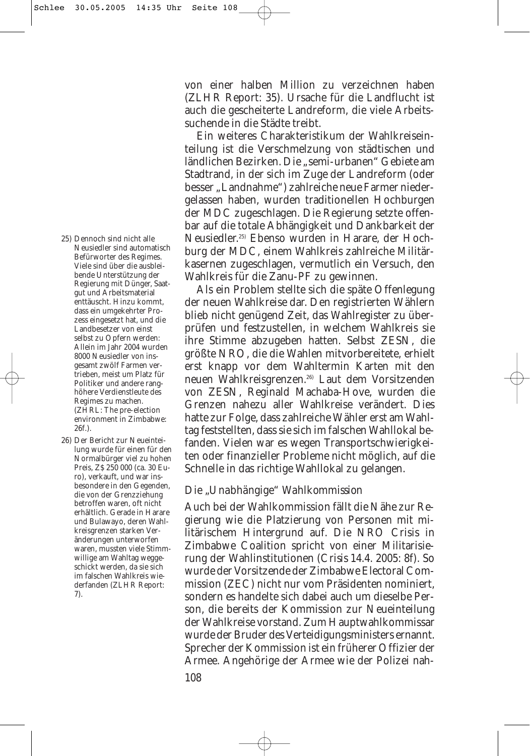25) Dennoch sind nicht alle Neusiedler sind automatisch Befürworter des Regimes. Viele sind über die ausbleibende Unterstützung der Regierung mit Dünger, Saatgut und Arbeitsmaterial enttäuscht. Hinzu kommt, dass ein umgekehrter Prozess eingesetzt hat, und die Landbesetzer von einst selbst zu Opfern werden: Allein im Jahr 2004 wurden 8000 Neusiedler von insgesamt zwölf Farmen vertrieben, meist um Platz für Politiker und andere ranghöhere Verdienstleute des Regimes zu machen. (ZHRL: The pre-election environment in Zimbabwe: 26f.).

26) Der Bericht zur Neueinteilung wurde für einen für den Normalbürger viel zu hohen Preis, Z\$ 250 000 (ca. 30 Euro), verkauft, und war insbesondere in den Gegenden, die von der Grenzziehung betroffen waren, oft nicht erhältlich. Gerade in Harare und Bulawayo, deren Wahlkreisgrenzen starken Veränderungen unterworfen waren, mussten viele Stimmwillige am Wahltag weggeschickt werden, da sie sich im falschen Wahlkreis wiederfanden (ZLHR Report: 7).

von einer halben Million zu verzeichnen haben (ZLHR Report: 35). Ursache für die Landflucht ist auch die gescheiterte Landreform, die viele Arbeitssuchende in die Städte treibt.

Ein weiteres Charakteristikum der Wahlkreiseinteilung ist die Verschmelzung von städtischen und ländlichen Bezirken. Die "semi-urbanen" Gebiete am Stadtrand, in der sich im Zuge der Landreform (oder besser "Landnahme") zahlreiche neue Farmer niedergelassen haben, wurden traditionellen Hochburgen der MDC zugeschlagen. Die Regierung setzte offenbar auf die totale Abhängigkeit und Dankbarkeit der Neusiedler.25) Ebenso wurden in Harare, der Hochburg der MDC, einem Wahlkreis zahlreiche Militärkasernen zugeschlagen, vermutlich ein Versuch, den Wahlkreis für die Zanu-PF zu gewinnen.

Als ein Problem stellte sich die späte Offenlegung der neuen Wahlkreise dar. Den registrierten Wählern blieb nicht genügend Zeit, das Wahlregister zu überprüfen und festzustellen, in welchem Wahlkreis sie ihre Stimme abzugeben hatten. Selbst ZESN, die größte NRO, die die Wahlen mitvorbereitete, erhielt erst knapp vor dem Wahltermin Karten mit den neuen Wahlkreisgrenzen.26) Laut dem Vorsitzenden von ZESN, Reginald Machaba-Hove, wurden die Grenzen nahezu aller Wahlkreise verändert. Dies hatte zur Folge, dass zahlreiche Wähler erst am Wahltag feststellten, dass sie sich im falschen Wahllokal befanden. Vielen war es wegen Transportschwierigkeiten oder finanzieller Probleme nicht möglich, auf die Schnelle in das richtige Wahllokal zu gelangen.

# *Die "Unabhängige" Wahlkommission*

Auch bei der Wahlkommission fällt die Nähe zur Regierung wie die Platzierung von Personen mit militärischem Hintergrund auf. Die NRO Crisis in Zimbabwe Coalition spricht von einer Militarisierung der Wahlinstitutionen (*Crisis* 14.4. 2005: 8f). So wurde der Vorsitzende der Zimbabwe Electoral Commission (ZEC) nicht nur vom Präsidenten nominiert, sondern es handelte sich dabei auch um dieselbe Person, die bereits der Kommission zur Neueinteilung der Wahlkreise vorstand. Zum Hauptwahlkommissar wurde der Bruder des Verteidigungsministers ernannt. Sprecher der Kommission ist ein früherer Offizier der Armee. Angehörige der Armee wie der Polizei nah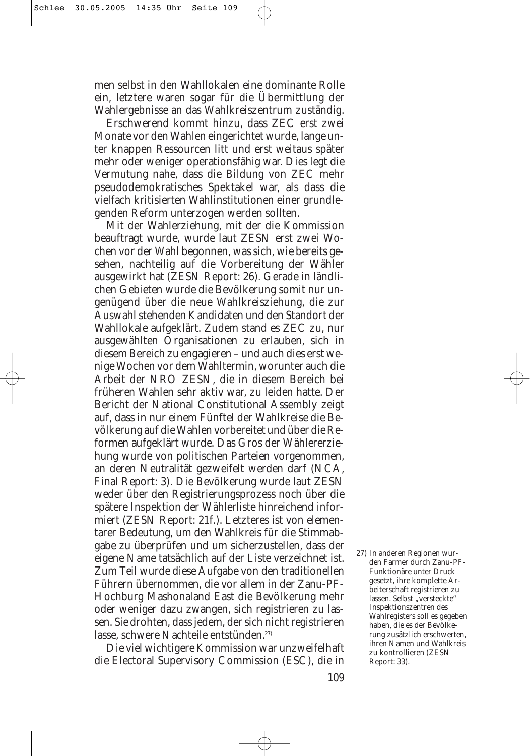men selbst in den Wahllokalen eine dominante Rolle ein, letztere waren sogar für die Übermittlung der Wahlergebnisse an das Wahlkreiszentrum zuständig.

Erschwerend kommt hinzu, dass ZEC erst zwei Monate vor den Wahlen eingerichtet wurde, lange unter knappen Ressourcen litt und erst weitaus später mehr oder weniger operationsfähig war. Dies legt die Vermutung nahe, dass die Bildung von ZEC mehr pseudodemokratisches Spektakel war, als dass die vielfach kritisierten Wahlinstitutionen einer grundlegenden Reform unterzogen werden sollten.

Mit der Wahlerziehung, mit der die Kommission beauftragt wurde, wurde laut ZESN erst zwei Wochen vor der Wahl begonnen, was sich, wie bereits gesehen, nachteilig auf die Vorbereitung der Wähler ausgewirkt hat (ZESN Report: 26). Gerade in ländlichen Gebieten wurde die Bevölkerung somit nur ungenügend über die neue Wahlkreisziehung, die zur Auswahl stehenden Kandidaten und den Standort der Wahllokale aufgeklärt. Zudem stand es ZEC zu, nur ausgewählten Organisationen zu erlauben, sich in diesem Bereich zu engagieren – und auch dies erst wenige Wochen vor dem Wahltermin, worunter auch die Arbeit der NRO ZESN, die in diesem Bereich bei früheren Wahlen sehr aktiv war, zu leiden hatte. Der Bericht der National Constitutional Assembly zeigt auf, dass in nur einem Fünftel der Wahlkreise die Bevölkerung auf die Wahlen vorbereitet und über die Reformen aufgeklärt wurde. Das Gros der Wählererziehung wurde von politischen Parteien vorgenommen, an deren Neutralität gezweifelt werden darf (NCA, Final Report: 3). Die Bevölkerung wurde laut ZESN weder über den Registrierungsprozess noch über die spätere Inspektion der Wählerliste hinreichend informiert (ZESN Report: 21f.). Letzteres ist von elementarer Bedeutung, um den Wahlkreis für die Stimmabgabe zu überprüfen und um sicherzustellen, dass der eigene Name tatsächlich auf der Liste verzeichnet ist. Zum Teil wurde diese Aufgabe von den traditionellen Führern übernommen, die vor allem in der Zanu-PF-Hochburg Mashonaland East die Bevölkerung mehr oder weniger dazu zwangen, sich registrieren zu lassen. Sie drohten, dass jedem, der sich nicht registrieren lasse, schwere Nachteile entstünden.27)

Die viel wichtigere Kommission war unzweifelhaft die Electoral Supervisory Commission (ESC), die in 27) In anderen Regionen wurden Farmer durch Zanu-PF-Funktionäre unter Druck gesetzt, ihre komplette Arbeiterschaft registrieren zu lassen. Selbst "versteckte" Inspektionszentren des Wahlregisters soll es gegeben haben, die es der Bevölkerung zusätzlich erschwerten, ihren Namen und Wahlkreis zu kontrollieren (ZESN Report: 33).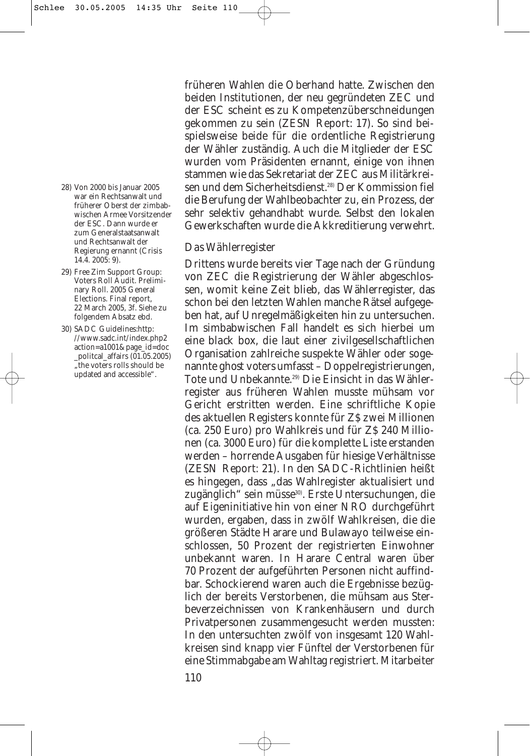- 28) Von 2000 bis Januar 2005 war ein Rechtsanwalt und früherer Oberst der zimbabwischen Armee Vorsitzender der ESC. Dann wurde er zum Generalstaatsanwalt und Rechtsanwalt der Regierung ernannt (Crisis 14.4. 2005: 9).
- 29) Free Zim Support Group: Voters Roll Audit. Preliminary Roll. 2005 General Elections. Final report, 22 March 2005, 3f. Siehe zu folgendem Absatz ebd.
- 30) SADC Guidelines:http: //www.sadc.int/index.php2 action=a1001&page\_id=doc \_politcal\_affairs (01.05.2005) "the voters rolls should be updated and accessible".

früheren Wahlen die Oberhand hatte. Zwischen den beiden Institutionen, der neu gegründeten ZEC und der ESC scheint es zu Kompetenzüberschneidungen gekommen zu sein (ZESN Report: 17). So sind beispielsweise beide für die ordentliche Registrierung der Wähler zuständig. Auch die Mitglieder der ESC wurden vom Präsidenten ernannt, einige von ihnen stammen wie das Sekretariat der ZEC aus Militärkreisen und dem Sicherheitsdienst.<sup>28)</sup> Der Kommission fiel die Berufung der Wahlbeobachter zu, ein Prozess, der sehr selektiv gehandhabt wurde. Selbst den lokalen Gewerkschaften wurde die Akkreditierung verwehrt.

### *Das Wählerregister*

Drittens wurde bereits vier Tage nach der Gründung von ZEC die Registrierung der Wähler abgeschlossen, womit keine Zeit blieb, das Wählerregister, das schon bei den letzten Wahlen manche Rätsel aufgegeben hat, auf Unregelmäßigkeiten hin zu untersuchen. Im simbabwischen Fall handelt es sich hierbei um eine *black box*, die laut einer zivilgesellschaftlichen Organisation zahlreiche suspekte Wähler oder sogenannte *ghost voters* umfasst – Doppelregistrierungen, Tote und Unbekannte.29) Die Einsicht in das Wählerregister aus früheren Wahlen musste mühsam vor Gericht erstritten werden. Eine schriftliche Kopie des aktuellen Registers konnte für Z\$ zwei Millionen (ca. 250 Euro) pro Wahlkreis und für Z\$ 240 Millionen (ca. 3000 Euro) für die komplette Liste erstanden werden – horrende Ausgaben für hiesige Verhältnisse (ZESN Report: 21). In den SADC-Richtlinien heißt es hingegen, dass "das Wahlregister aktualisiert und zugänglich" sein müsse<sup>30)</sup>. Erste Untersuchungen, die auf Eigeninitiative hin von einer NRO durchgeführt wurden, ergaben, dass in zwölf Wahlkreisen, die die größeren Städte Harare und Bulawayo teilweise einschlossen, 50 Prozent der registrierten Einwohner unbekannt waren. In Harare Central waren über 70 Prozent der aufgeführten Personen nicht auffindbar. Schockierend waren auch die Ergebnisse bezüglich der bereits Verstorbenen, die mühsam aus Sterbeverzeichnissen von Krankenhäusern und durch Privatpersonen zusammengesucht werden mussten: In den untersuchten zwölf von insgesamt 120 Wahlkreisen sind knapp vier Fünftel der Verstorbenen für eine Stimmabgabe am Wahltag registriert. Mitarbeiter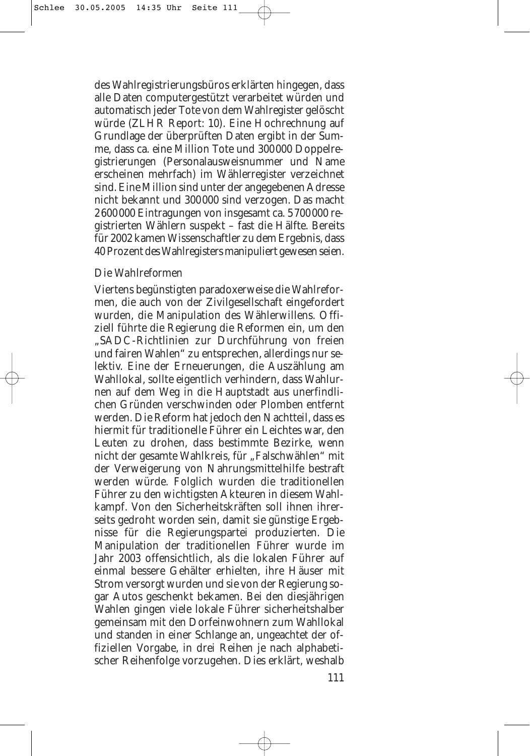des Wahlregistrierungsbüros erklärten hingegen, dass alle Daten computergestützt verarbeitet würden und automatisch jeder Tote von dem Wahlregister gelöscht würde (ZLHR Report: 10). Eine Hochrechnung auf Grundlage der überprüften Daten ergibt in der Summe, dass ca. eine Million Tote und 300000 Doppelregistrierungen (Personalausweisnummer und Name erscheinen mehrfach) im Wählerregister verzeichnet sind. Eine Million sind unter der angegebenen Adresse nicht bekannt und 300000 sind verzogen. Das macht 2600000 Eintragungen von insgesamt ca. 5700000 registrierten Wählern suspekt – fast die Hälfte. Bereits für 2002 kamen Wissenschaftler zu dem Ergebnis, dass 40 Prozent des Wahlregisters manipuliert gewesen seien.

# *Die Wahlreformen*

Viertens begünstigten paradoxerweise die Wahlreformen, die auch von der Zivilgesellschaft eingefordert wurden, die Manipulation des Wählerwillens. Offiziell führte die Regierung die Reformen ein, um den "SADC-Richtlinien zur Durchführung von freien und fairen Wahlen" zu entsprechen, allerdings nur selektiv. Eine der Erneuerungen, die Auszählung am Wahllokal, sollte eigentlich verhindern, dass Wahlurnen auf dem Weg in die Hauptstadt aus unerfindlichen Gründen verschwinden oder Plomben entfernt werden. Die Reform hat jedoch den Nachtteil, dass es hiermit für traditionelle Führer ein Leichtes war, den Leuten zu drohen, dass bestimmte Bezirke, wenn nicht der gesamte Wahlkreis, für "Falschwählen" mit der Verweigerung von Nahrungsmittelhilfe bestraft werden würde. Folglich wurden die traditionellen Führer zu den wichtigsten Akteuren in diesem Wahlkampf. Von den Sicherheitskräften soll ihnen ihrerseits gedroht worden sein, damit sie günstige Ergebnisse für die Regierungspartei produzierten. Die Manipulation der traditionellen Führer wurde im Jahr 2003 offensichtlich, als die lokalen Führer auf einmal bessere Gehälter erhielten, ihre Häuser mit Strom versorgt wurden und sie von der Regierung sogar Autos geschenkt bekamen. Bei den diesjährigen Wahlen gingen viele lokale Führer sicherheitshalber gemeinsam mit den Dorfeinwohnern zum Wahllokal und standen in einer Schlange an, ungeachtet der offiziellen Vorgabe, in drei Reihen je nach alphabetischer Reihenfolge vorzugehen. Dies erklärt, weshalb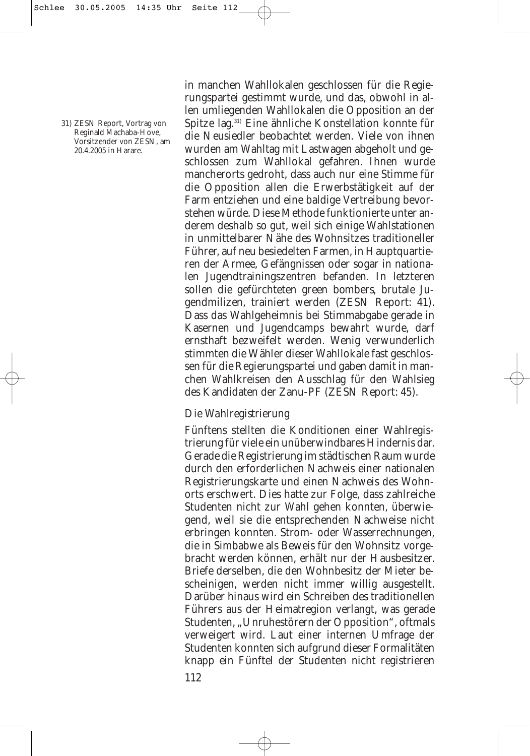31) ZESN Report, Vortrag von Reginald Machaba-Hove, Vorsitzender von ZESN, am 20.4.2005 in Harare.

in manchen Wahllokalen geschlossen für die Regierungspartei gestimmt wurde, und das, obwohl in allen umliegenden Wahllokalen die Opposition an der Spitze lag.31) Eine ähnliche Konstellation konnte für die Neusiedler beobachtet werden. Viele von ihnen wurden am Wahltag mit Lastwagen abgeholt und geschlossen zum Wahllokal gefahren. Ihnen wurde mancherorts gedroht, dass auch nur eine Stimme für die Opposition allen die Erwerbstätigkeit auf der Farm entziehen und eine baldige Vertreibung bevorstehen würde. Diese Methode funktionierte unter anderem deshalb so gut, weil sich einige Wahlstationen in unmittelbarer Nähe des Wohnsitzes traditioneller Führer, auf neu besiedelten Farmen, in Hauptquartieren der Armee, Gefängnissen oder sogar in nationalen Jugendtrainingszentren befanden. In letzteren sollen die gefürchteten *green bombers*, brutale Jugendmilizen, trainiert werden (ZESN Report: 41). Dass das Wahlgeheimnis bei Stimmabgabe gerade in Kasernen und Jugendcamps bewahrt wurde, darf ernsthaft bezweifelt werden. Wenig verwunderlich stimmten die Wähler dieser Wahllokale fast geschlossen für die Regierungspartei und gaben damit in manchen Wahlkreisen den Ausschlag für den Wahlsieg des Kandidaten der Zanu-PF (ZESN Report: 45).

# *Die Wahlregistrierung*

Fünftens stellten die Konditionen einer Wahlregistrierung für viele ein unüberwindbares Hindernis dar. Gerade die Registrierung im städtischen Raum wurde durch den erforderlichen Nachweis einer nationalen Registrierungskarte und einen Nachweis des Wohnorts erschwert. Dies hatte zur Folge, dass zahlreiche Studenten nicht zur Wahl gehen konnten, überwiegend, weil sie die entsprechenden Nachweise nicht erbringen konnten. Strom- oder Wasserrechnungen, die in Simbabwe als Beweis für den Wohnsitz vorgebracht werden können, erhält nur der Hausbesitzer. Briefe derselben, die den Wohnbesitz der Mieter bescheinigen, werden nicht immer willig ausgestellt. Darüber hinaus wird ein Schreiben des traditionellen Führers aus der Heimatregion verlangt, was gerade Studenten, "Unruhestörern der Opposition", oftmals verweigert wird. Laut einer internen Umfrage der Studenten konnten sich aufgrund dieser Formalitäten knapp ein Fünftel der Studenten nicht registrieren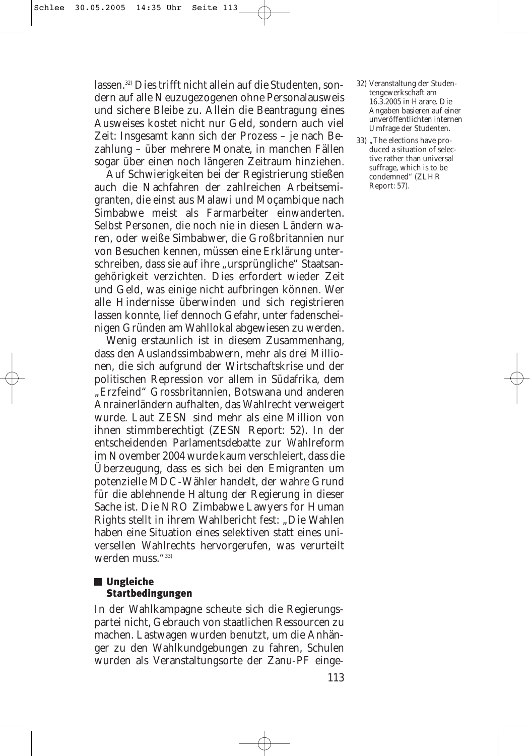lassen.32) Dies trifft nicht allein auf die Studenten, sondern auf alle Neuzugezogenen ohne Personalausweis und sichere Bleibe zu. Allein die Beantragung eines Ausweises kostet nicht nur Geld, sondern auch viel Zeit: Insgesamt kann sich der Prozess – je nach Bezahlung – über mehrere Monate, in manchen Fällen sogar über einen noch längeren Zeitraum hinziehen.

Auf Schwierigkeiten bei der Registrierung stießen auch die Nachfahren der zahlreichen Arbeitsemigranten, die einst aus Malawi und Moçambique nach Simbabwe meist als Farmarbeiter einwanderten. Selbst Personen, die noch nie in diesen Ländern waren, oder weiße Simbabwer, die Großbritannien nur von Besuchen kennen, müssen eine Erklärung unterschreiben, dass sie auf ihre "ursprüngliche" Staatsangehörigkeit verzichten. Dies erfordert wieder Zeit und Geld, was einige nicht aufbringen können. Wer alle Hindernisse überwinden und sich registrieren lassen konnte, lief dennoch Gefahr, unter fadenscheinigen Gründen am Wahllokal abgewiesen zu werden.

Wenig erstaunlich ist in diesem Zusammenhang, dass den Auslandssimbabwern, mehr als drei Millionen, die sich aufgrund der Wirtschaftskrise und der politischen Repression vor allem in Südafrika, dem "Erzfeind" Grossbritannien, Botswana und anderen Anrainerländern aufhalten, das Wahlrecht verweigert wurde. Laut ZESN sind mehr als eine Million von ihnen stimmberechtigt (ZESN Report: 52). In der entscheidenden Parlamentsdebatte zur Wahlreform im November 2004 wurde kaum verschleiert, dass die Überzeugung, dass es sich bei den Emigranten um potenzielle MDC-Wähler handelt, der wahre Grund für die ablehnende Haltung der Regierung in dieser Sache ist. Die NRO Zimbabwe Lawyers for Human Rights stellt in ihrem Wahlbericht fest: "Die Wahlen haben eine Situation eines selektiven statt eines universellen Wahlrechts hervorgerufen, was verurteilt werden muss."33)

# **Ungleiche** Startbedingungen

In der Wahlkampagne scheute sich die Regierungspartei nicht, Gebrauch von staatlichen Ressourcen zu machen. Lastwagen wurden benutzt, um die Anhänger zu den Wahlkundgebungen zu fahren, Schulen wurden als Veranstaltungsorte der Zanu-PF einge-

- 32) Veranstaltung der Studentengewerkschaft am 16.3.2005 in Harare. Die Angaben basieren auf einer unveröffentlichten internen Umfrage der Studenten.
- 33) "The elections have produced a situation of selective rather than universal suffrage, which is to be condemned" (ZLHR Report: 57).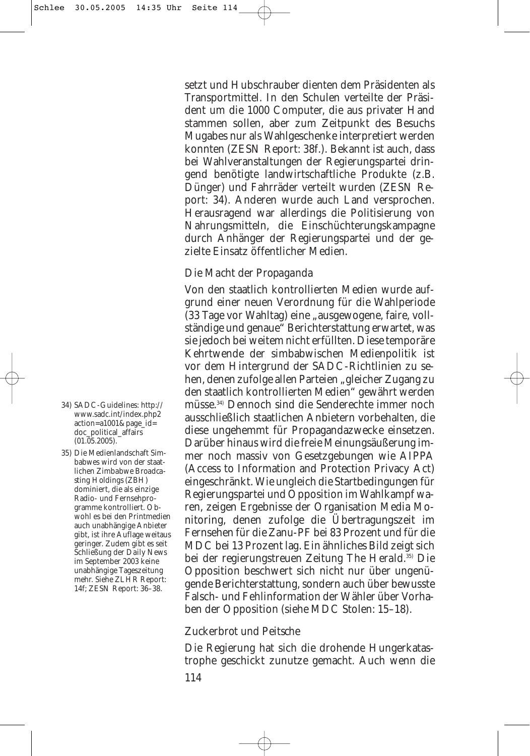setzt und Hubschrauber dienten dem Präsidenten als Transportmittel. In den Schulen verteilte der Präsident um die 1000 Computer, die aus privater Hand stammen sollen, aber zum Zeitpunkt des Besuchs Mugabes nur als Wahlgeschenke interpretiert werden konnten (ZESN Report: 38f.). Bekannt ist auch, dass bei Wahlveranstaltungen der Regierungspartei dringend benötigte landwirtschaftliche Produkte (z.B. Dünger) und Fahrräder verteilt wurden (ZESN Report: 34). Anderen wurde auch Land versprochen. Herausragend war allerdings die Politisierung von Nahrungsmitteln, die Einschüchterungskampagne durch Anhänger der Regierungspartei und der gezielte Einsatz öffentlicher Medien.

# *Die Macht der Propaganda*

Von den staatlich kontrollierten Medien wurde aufgrund einer neuen Verordnung für die Wahlperiode (33 Tage vor Wahltag) eine "ausgewogene, faire, vollständige und genaue" Berichterstattung erwartet, was sie jedoch bei weitem nicht erfüllten. Diese temporäre Kehrtwende der simbabwischen Medienpolitik ist vor dem Hintergrund der SADC-Richtlinien zu sehen, denen zufolge allen Parteien "gleicher Zugang zu den staatlich kontrollierten Medien" gewährt werden müsse.34) Dennoch sind die Senderechte immer noch ausschließlich staatlichen Anbietern vorbehalten, die diese ungehemmt für Propagandazwecke einsetzen. Darüber hinaus wird die freie Meinungsäußerung immer noch massiv von Gesetzgebungen wie AIPPA (Access to Information and Protection Privacy Act) eingeschränkt. Wie ungleich die Startbedingungen für Regierungspartei und Opposition im Wahlkampf waren, zeigen Ergebnisse der Organisation Media Monitoring, denen zufolge die Übertragungszeit im Fernsehen für die Zanu-PF bei 83 Prozent und für die MDC bei 13 Prozent lag. Ein ähnliches Bild zeigt sich bei der regierungstreuen Zeitung *The Herald*. 35) Die Opposition beschwert sich nicht nur über ungenügende Berichterstattung, sondern auch über bewusste Falsch- und Fehlinformation der Wähler über Vorhaben der Opposition (siehe MDC Stolen: 15–18).

# *Zuckerbrot und Peitsche*

Die Regierung hat sich die drohende Hungerkatastrophe geschickt zunutze gemacht. Auch wenn die 114

- 34) SADC-Guidelines: http:// www.sadc.int/index.php2 action=a1001&page\_id= doc\_political\_affairs  $(01.\overline{05}.2005).$
- 35) Die Medienlandschaft Simbabwes wird von der staatlichen *Zimbabwe Broadcasting Holdings* (ZBH) dominiert, die als einzige Radio- und Fernsehprogramme kontrolliert. Obwohl es bei den Printmedien auch unabhängige Anbieter gibt, ist ihre Auflage weitaus geringer. Zudem gibt es seit Schließung der *Daily News* im September 2003 keine unabhängige Tageszeitung mehr. Siehe ZLHR Report: 14f; ZESN Report: 36–38.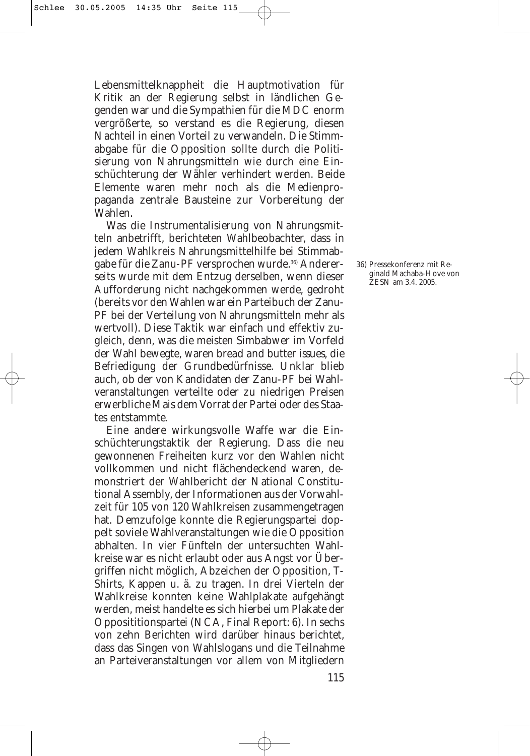Lebensmittelknappheit die Hauptmotivation für Kritik an der Regierung selbst in ländlichen Gegenden war und die Sympathien für die MDC enorm vergrößerte, so verstand es die Regierung, diesen Nachteil in einen Vorteil zu verwandeln. Die Stimmabgabe für die Opposition sollte durch die Politisierung von Nahrungsmitteln wie durch eine Einschüchterung der Wähler verhindert werden. Beide Elemente waren mehr noch als die Medienpropaganda zentrale Bausteine zur Vorbereitung der Wahlen.

Was die Instrumentalisierung von Nahrungsmitteln anbetrifft, berichteten Wahlbeobachter, dass in jedem Wahlkreis Nahrungsmittelhilfe bei Stimmabgabe für die Zanu-PF versprochen wurde.36) Andererseits wurde mit dem Entzug derselben, wenn dieser Aufforderung nicht nachgekommen werde, gedroht (bereits vor den Wahlen war ein Parteibuch der Zanu-PF bei der Verteilung von Nahrungsmitteln mehr als wertvoll). Diese Taktik war einfach und effektiv zugleich, denn, was die meisten Simbabwer im Vorfeld der Wahl bewegte, waren *bread and butter issues*, die Befriedigung der Grundbedürfnisse. Unklar blieb auch, ob der von Kandidaten der Zanu-PF bei Wahlveranstaltungen verteilte oder zu niedrigen Preisen erwerbliche Mais dem Vorrat der Partei oder des Staates entstammte.

Eine andere wirkungsvolle Waffe war die Einschüchterungstaktik der Regierung. Dass die neu gewonnenen Freiheiten kurz vor den Wahlen nicht vollkommen und nicht flächendeckend waren, demonstriert der Wahlbericht der National Constitutional Assembly, der Informationen aus der Vorwahlzeit für 105 von 120 Wahlkreisen zusammengetragen hat. Demzufolge konnte die Regierungspartei doppelt soviele Wahlveranstaltungen wie die Opposition abhalten. In vier Fünfteln der untersuchten Wahlkreise war es nicht erlaubt oder aus Angst vor Übergriffen nicht möglich, Abzeichen der Opposition, T-Shirts, Kappen u. ä. zu tragen. In drei Vierteln der Wahlkreise konnten keine Wahlplakate aufgehängt werden, meist handelte es sich hierbei um Plakate der Opposititionspartei (NCA, Final Report: 6). In sechs von zehn Berichten wird darüber hinaus berichtet, dass das Singen von Wahlslogans und die Teilnahme an Parteiveranstaltungen vor allem von Mitgliedern 36) Pressekonferenz mit Reginald Machaba-Hove von ZESN am 3.4. 2005.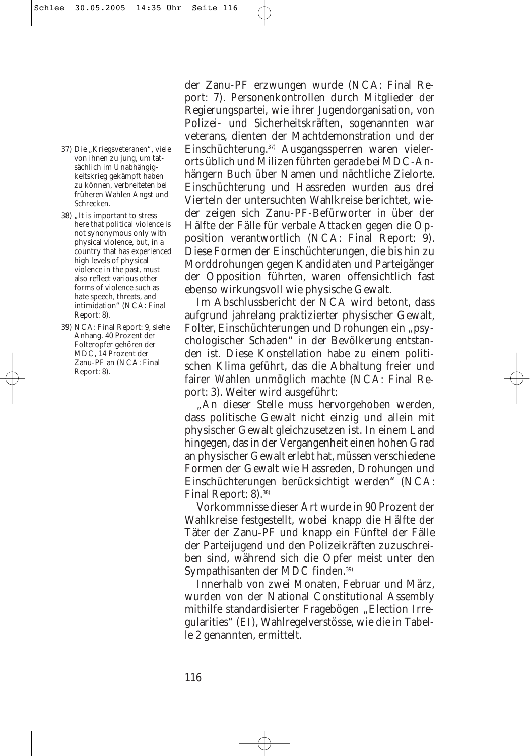- 37) Die "Kriegsveteranen", viele von ihnen zu jung, um tatsächlich im Unabhängigkeitskrieg gekämpft haben zu können, verbreiteten bei früheren Wahlen Angst und Schrecken.
- 38) "It is important to stress here that political violence is not synonymous only with physical violence, but, in a country that has experienced high levels of physical violence in the past, must also reflect various other forms of violence such as hate speech, threats, and intimidation" (NCA: Final Report: 8).
- 39) NCA: Final Report: 9, siehe Anhang. 40 Prozent der Folteropfer gehören der MDC, 14 Prozent der Zanu-PF an (NCA: Final Report: 8).

der Zanu-PF erzwungen wurde (NCA: Final Report: 7). Personenkontrollen durch Mitglieder der Regierungspartei, wie ihrer Jugendorganisation, von Polizei- und Sicherheitskräften, sogenannten *war veterans,* dienten der Machtdemonstration und der Einschüchterung.37) Ausgangssperren waren vielerorts üblich und Milizen führten gerade bei MDC-Anhängern Buch über Namen und nächtliche Zielorte. Einschüchterung und Hassreden wurden aus drei Vierteln der untersuchten Wahlkreise berichtet, wieder zeigen sich Zanu-PF-Befürworter in über der Hälfte der Fälle für verbale Attacken gegen die Opposition verantwortlich (NCA: Final Report: 9). Diese Formen der Einschüchterungen, die bis hin zu Morddrohungen gegen Kandidaten und Parteigänger der Opposition führten, waren offensichtlich fast ebenso wirkungsvoll wie physische Gewalt.

Im Abschlussbericht der NCA wird betont, dass aufgrund jahrelang praktizierter physischer Gewalt, Folter, Einschüchterungen und Drohungen ein "psychologischer Schaden" in der Bevölkerung entstanden ist. Diese Konstellation habe zu einem politischen Klima geführt, das die Abhaltung freier und fairer Wahlen unmöglich machte (NCA: Final Report: 3). Weiter wird ausgeführt:

"An dieser Stelle muss hervorgehoben werden, dass politische Gewalt nicht einzig und allein mit physischer Gewalt gleichzusetzen ist. In einem Land hingegen, das in der Vergangenheit einen hohen Grad an physischer Gewalt erlebt hat, müssen verschiedene Formen der Gewalt wie Hassreden, Drohungen und Einschüchterungen berücksichtigt werden" (NCA: Final Report: 8).<sup>38)</sup>

Vorkommnisse dieser Art wurde in 90 Prozent der Wahlkreise festgestellt, wobei knapp die Hälfte der Täter der Zanu-PF und knapp ein Fünftel der Fälle der Parteijugend und den Polizeikräften zuzuschreiben sind, während sich die Opfer meist unter den Sympathisanten der MDC finden.39)

Innerhalb von zwei Monaten, Februar und März, wurden von der National Constitutional Assembly mithilfe standardisierter Fragebögen "Election Irregularities" (EI), Wahlregelverstösse, wie die in Tabelle 2 genannten, ermittelt.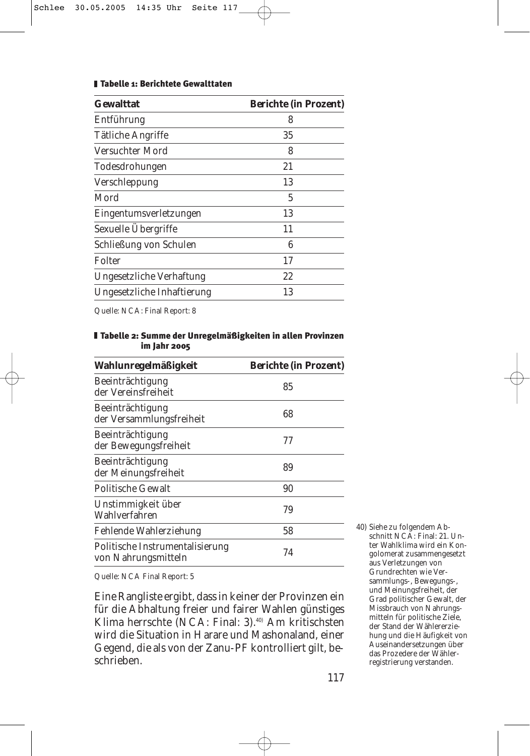#### Tabelle 1: Berichtete Gewalttaten

| <b>Gewalttat</b>           | <b>Berichte (in Prozent)</b> |
|----------------------------|------------------------------|
| Entführung                 | 8                            |
| <b>Tätliche Angriffe</b>   | 35                           |
| Versuchter Mord            | 8                            |
| Todesdrohungen             | 21                           |
| Verschleppung              | 13                           |
| Mord                       | 5                            |
| Eingentumsverletzungen     | 13                           |
| Sexuelle Übergriffe        | 11                           |
| Schließung von Schulen     | 6                            |
| Folter                     | 17                           |
| Ungesetzliche Verhaftung   | 22                           |
| Ungesetzliche Inhaftierung | 13                           |

Quelle: NCA: Final Report: 8

#### Tabelle 2: Summe der Unregelmäßigkeiten in allen Provinzen im Jahr 2005

| Wahlunregelmäßigkeit                                   | <b>Berichte (in Prozent)</b> |
|--------------------------------------------------------|------------------------------|
| Beeinträchtigung<br>der Vereinsfreiheit                | 85                           |
| Beeinträchtigung<br>der Versammlungsfreiheit           | 68                           |
| Beeinträchtigung<br>der Bewegungsfreiheit              | 77                           |
| Beeinträchtigung<br>der Meinungsfreiheit               | 89                           |
| <b>Politische Gewalt</b>                               | 90                           |
| Unstimmigkeit über<br>Wahlverfahren                    | 79                           |
| Fehlende Wahlerziehung                                 | 58                           |
| Politische Instrumentalisierung<br>von Nahrungsmitteln | 74                           |
|                                                        |                              |

Quelle: NCA Final Report: 5

Eine Rangliste ergibt, dass in keiner der Provinzen ein für die Abhaltung freier und fairer Wahlen günstiges Klima herrschte (NCA: Final: 3).<sup>40)</sup> Am kritischsten wird die Situation in Harare und Mashonaland, einer Gegend, die als von der Zanu-PF kontrolliert gilt, beschrieben.

40) Siehe zu folgendem Abschnitt NCA: Final: 21. Unter Wahlklima wird ein Kongolomerat zusammengesetzt aus Verletzungen von Grundrechten wie Versammlungs-, Bewegungs-, und Meinungsfreiheit, der Grad politischer Gewalt, der Missbrauch von Nahrungsmitteln für politische Ziele, der Stand der Wählererziehung und die Häufigkeit von Auseinandersetzungen über das Prozedere der Wählerregistrierung verstanden.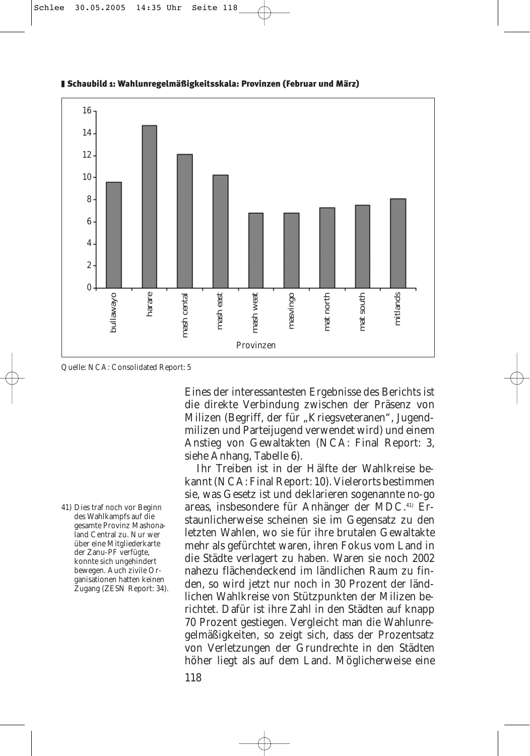

#### Schaubild 1: Wahlunregelmäßigkeitsskala: Provinzen (Februar und März)

Quelle: NCA: Consolidated Report: 5

41) Dies traf noch vor Beginn des Wahlkampfs auf die gesamte Provinz Mashonaland Central zu. Nur wer über eine Mitgliederkarte der Zanu-PF verfügte, konnte sich ungehindert bewegen. Auch zivile Organisationen hatten keinen Zugang (ZESN Report: 34).

Eines der interessantesten Ergebnisse des Berichts ist die direkte Verbindung zwischen der Präsenz von Milizen (Begriff, der für "Kriegsveteranen", Jugendmilizen und Parteijugend verwendet wird) und einem Anstieg von Gewaltakten (NCA: Final Report: 3, siehe Anhang, Tabelle 6).

Ihr Treiben ist in der Hälfte der Wahlkreise bekannt (NCA: Final Report: 10). Vielerorts bestimmen sie, was Gesetz ist und deklarieren sogenannte *no-go areas*, insbesondere für Anhänger der MDC.41) Erstaunlicherweise scheinen sie im Gegensatz zu den letzten Wahlen, wo sie für ihre brutalen Gewaltakte mehr als gefürchtet waren, ihren Fokus vom Land in die Städte verlagert zu haben. Waren sie noch 2002 nahezu flächendeckend im ländlichen Raum zu finden, so wird jetzt nur noch in 30 Prozent der ländlichen Wahlkreise von Stützpunkten der Milizen berichtet. Dafür ist ihre Zahl in den Städten auf knapp 70 Prozent gestiegen. Vergleicht man die Wahlunregelmäßigkeiten, so zeigt sich, dass der Prozentsatz von Verletzungen der Grundrechte in den Städten höher liegt als auf dem Land. Möglicherweise eine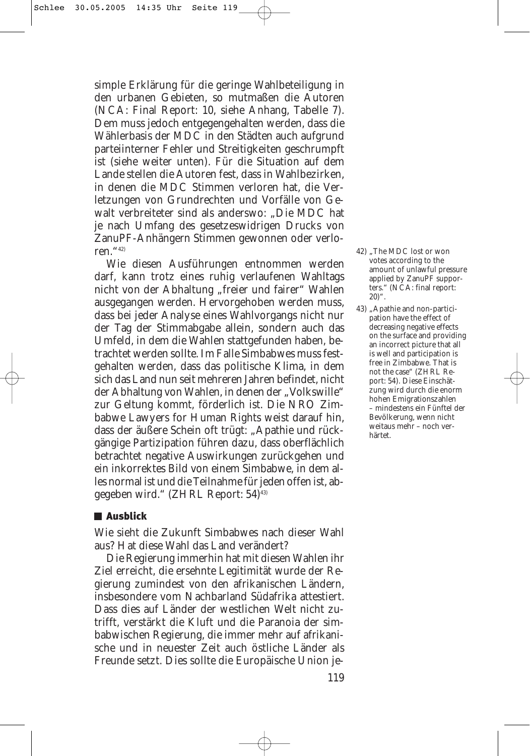simple Erklärung für die geringe Wahlbeteiligung in den urbanen Gebieten, so mutmaßen die Autoren (NCA: Final Report: 10, siehe Anhang, Tabelle 7). Dem muss jedoch entgegengehalten werden, dass die Wählerbasis der MDC in den Städten auch aufgrund parteiinterner Fehler und Streitigkeiten geschrumpft ist (siehe weiter unten). Für die Situation auf dem Lande stellen die Autoren fest, dass in Wahlbezirken, in denen die MDC Stimmen verloren hat, die Verletzungen von Grundrechten und Vorfälle von Gewalt verbreiteter sind als anderswo: "Die MDC hat je nach Umfang des gesetzeswidrigen Drucks von ZanuPF-Anhängern Stimmen gewonnen oder verloren."42)

Wie diesen Ausführungen entnommen werden darf, kann trotz eines ruhig verlaufenen Wahltags nicht von der Abhaltung "freier und fairer" Wahlen ausgegangen werden. Hervorgehoben werden muss, dass bei jeder Analyse eines Wahlvorgangs nicht nur der Tag der Stimmabgabe allein, sondern auch das Umfeld, in dem die Wahlen stattgefunden haben, betrachtet werden sollte. Im Falle Simbabwes muss festgehalten werden, dass das politische Klima, in dem sich das Land nun seit mehreren Jahren befindet, nicht der Abhaltung von Wahlen, in denen der "Volkswille" zur Geltung kommt, förderlich ist. Die NRO Zimbabwe Lawyers for Human Rights weist darauf hin, dass der äußere Schein oft trügt: "Apathie und rückgängige Partizipation führen dazu, dass oberflächlich betrachtet negative Auswirkungen zurückgehen und ein inkorrektes Bild von einem Simbabwe, in dem alles normal ist und die Teilnahme für jeden offen ist, abgegeben wird." (ZHRL Report: 54)43)

# **■ Ausblick**

Wie sieht die Zukunft Simbabwes nach dieser Wahl aus? Hat diese Wahl das Land verändert?

Die Regierung immerhin hat mit diesen Wahlen ihr Ziel erreicht, die ersehnte Legitimität wurde der Regierung zumindest von den afrikanischen Ländern, insbesondere vom Nachbarland Südafrika attestiert. Dass dies auf Länder der westlichen Welt nicht zutrifft, verstärkt die Kluft und die Paranoia der simbabwischen Regierung, die immer mehr auf afrikanische und in neuester Zeit auch östliche Länder als Freunde setzt. Dies sollte die Europäische Union je-

- 42) "The MDC lost or won votes according to the amount of unlawful pressure applied by ZanuPF supporters." (NCA: final report:  $20)$ ".
- 43) "Apathie and non-participation have the effect of decreasing negative effects on the surface and providing an incorrect picture that all is well and participation is free in Zimbabwe. That is not the case" (ZHRL Report: 54). Diese Einschätzung wird durch die enorm hohen Emigrationszahlen – mindestens ein Fünftel der Bevölkerung, wenn nicht weitaus mehr – noch verhärtet.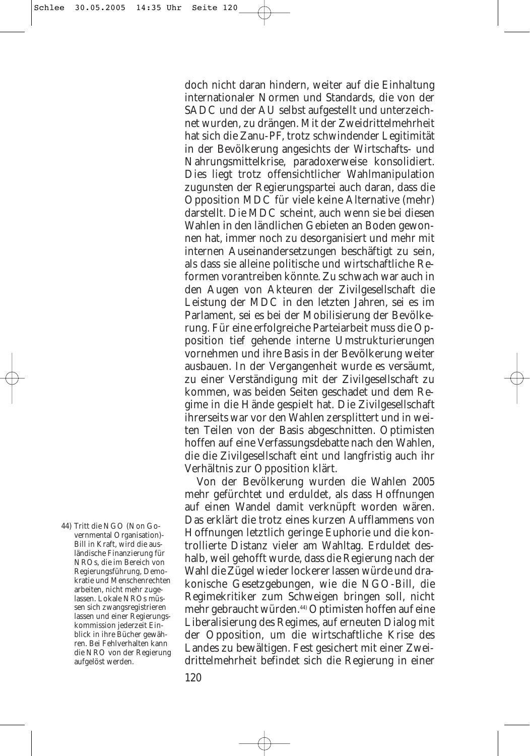doch nicht daran hindern, weiter auf die Einhaltung internationaler Normen und Standards, die von der SADC und der AU selbst aufgestellt und unterzeichnet wurden, zu drängen. Mit der Zweidrittelmehrheit hat sich die Zanu-PF, trotz schwindender Legitimität in der Bevölkerung angesichts der Wirtschafts- und Nahrungsmittelkrise, paradoxerweise konsolidiert. Dies liegt trotz offensichtlicher Wahlmanipulation zugunsten der Regierungspartei auch daran, dass die Opposition MDC für viele keine Alternative (mehr) darstellt. Die MDC scheint, auch wenn sie bei diesen Wahlen in den ländlichen Gebieten an Boden gewonnen hat, immer noch zu desorganisiert und mehr mit internen Auseinandersetzungen beschäftigt zu sein, als dass sie alleine politische und wirtschaftliche Reformen vorantreiben könnte. Zu schwach war auch in den Augen von Akteuren der Zivilgesellschaft die Leistung der MDC in den letzten Jahren, sei es im Parlament, sei es bei der Mobilisierung der Bevölkerung. Für eine erfolgreiche Parteiarbeit muss die Opposition tief gehende interne Umstrukturierungen vornehmen und ihre Basis in der Bevölkerung weiter ausbauen. In der Vergangenheit wurde es versäumt, zu einer Verständigung mit der Zivilgesellschaft zu kommen, was beiden Seiten geschadet und dem Regime in die Hände gespielt hat. Die Zivilgesellschaft ihrerseits war vor den Wahlen zersplittert und in weiten Teilen von der Basis abgeschnitten. Optimisten hoffen auf eine Verfassungsdebatte nach den Wahlen, die die Zivilgesellschaft eint und langfristig auch ihr Verhältnis zur Opposition klärt.

Von der Bevölkerung wurden die Wahlen 2005 mehr gefürchtet und erduldet, als dass Hoffnungen auf einen Wandel damit verknüpft worden wären. Das erklärt die trotz eines kurzen Aufflammens von Hoffnungen letztlich geringe Euphorie und die kontrollierte Distanz vieler am Wahltag. Erduldet deshalb, weil gehofft wurde, dass die Regierung nach der Wahl die Zügel wieder lockerer lassen würde und drakonische Gesetzgebungen, wie die NGO-Bill, die Regimekritiker zum Schweigen bringen soll, nicht mehr gebraucht würden.44) Optimisten hoffen auf eine Liberalisierung des Regimes, auf erneuten Dialog mit der Opposition, um die wirtschaftliche Krise des Landes zu bewältigen. Fest gesichert mit einer Zweidrittelmehrheit befindet sich die Regierung in einer

44) Tritt die NGO (Non Governmental Organisation)- Bill in Kraft, wird die ausländische Finanzierung für NROs, die im Bereich von Regierungsführung, Demokratie und Menschenrechten arbeiten, nicht mehr zugelassen. Lokale NROs müssen sich zwangsregistrieren lassen und einer Regierungskommission jederzeit Einblick in ihre Bücher gewähren. Bei Fehlverhalten kann die NRO von der Regierung aufgelöst werden.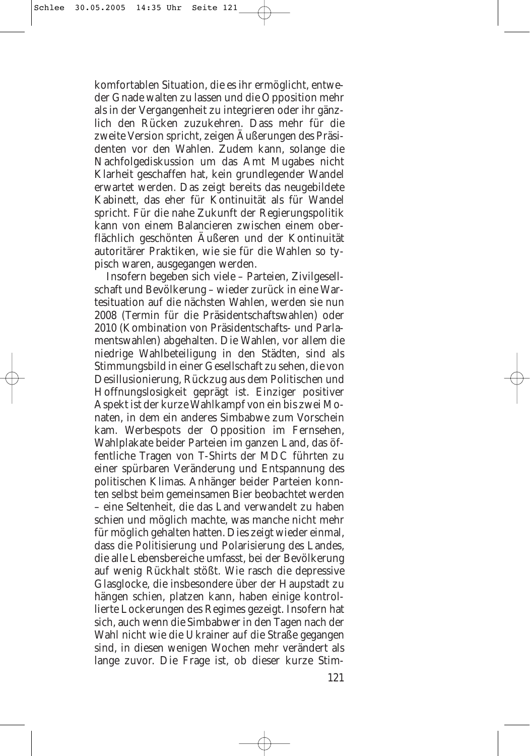komfortablen Situation, die es ihr ermöglicht, entweder Gnade walten zu lassen und die Opposition mehr als in der Vergangenheit zu integrieren oder ihr gänzlich den Rücken zuzukehren. Dass mehr für die zweite Version spricht, zeigen Äußerungen des Präsidenten vor den Wahlen. Zudem kann, solange die Nachfolgediskussion um das Amt Mugabes nicht Klarheit geschaffen hat, kein grundlegender Wandel erwartet werden. Das zeigt bereits das neugebildete Kabinett, das eher für Kontinuität als für Wandel spricht. Für die nahe Zukunft der Regierungspolitik kann von einem Balancieren zwischen einem oberflächlich geschönten Äußeren und der Kontinuität autoritärer Praktiken, wie sie für die Wahlen so typisch waren, ausgegangen werden.

Insofern begeben sich viele – Parteien, Zivilgesellschaft und Bevölkerung – wieder zurück in eine Wartesituation auf die nächsten Wahlen, werden sie nun 2008 (Termin für die Präsidentschaftswahlen) oder 2010 (Kombination von Präsidentschafts- und Parlamentswahlen) abgehalten. Die Wahlen, vor allem die niedrige Wahlbeteiligung in den Städten, sind als Stimmungsbild in einer Gesellschaft zu sehen, die von Desillusionierung, Rückzug aus dem Politischen und Hoffnungslosigkeit geprägt ist. Einziger positiver Aspekt ist der kurze Wahlkampf von ein bis zwei Monaten, in dem ein anderes Simbabwe zum Vorschein kam. Werbespots der Opposition im Fernsehen, Wahlplakate beider Parteien im ganzen Land, das öffentliche Tragen von T-Shirts der MDC führten zu einer spürbaren Veränderung und Entspannung des politischen Klimas. Anhänger beider Parteien konnten selbst beim gemeinsamen Bier beobachtet werden – eine Seltenheit, die das Land verwandelt zu haben schien und möglich machte, was manche nicht mehr für möglich gehalten hatten. Dies zeigt wieder einmal, dass die Politisierung und Polarisierung des Landes, die alle Lebensbereiche umfasst, bei der Bevölkerung auf wenig Rückhalt stößt. Wie rasch die depressive Glasglocke, die insbesondere über der Haupstadt zu hängen schien, platzen kann, haben einige kontrollierte Lockerungen des Regimes gezeigt. Insofern hat sich, auch wenn die Simbabwer in den Tagen nach der Wahl nicht wie die Ukrainer auf die Straße gegangen sind, in diesen wenigen Wochen mehr verändert als lange zuvor. Die Frage ist, ob dieser kurze Stim-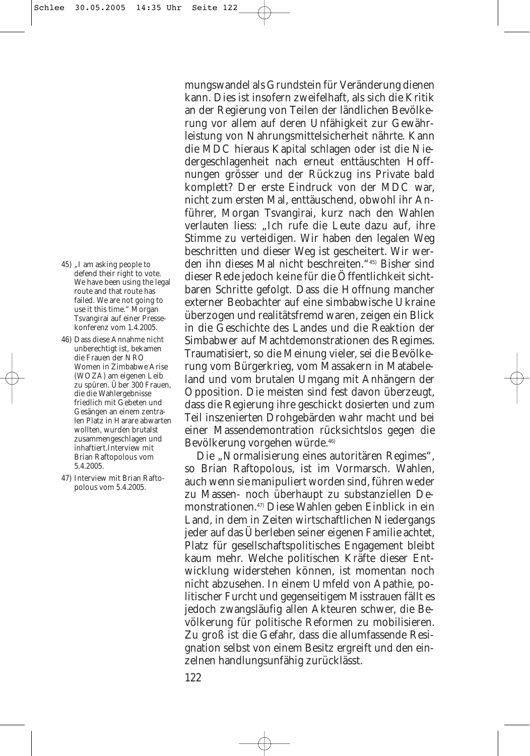- 45) .I am asking people to defend their right to vote. We have been using the legal route and that route has failed. We are not going to use it this time." Morgan Tsvangirai auf einer Pressekonferenz vom 1.4.2005.
- 46) Dass diese Annahme nicht unberechtigt ist, bekamen die Frauen der NRO Women in Zimbabwe Arise (WOZA) am eigenen Leib zu spüren. Über 300 Frauen, die die Wahlergebnisse friedlich mit Gebeten und Gesängen an einem zentralen Platz in Harare abwarten wollten, wurden brutalst zusammengeschlagen und inhaftiert.Interview mit Brian Raftopolous vom 5.4.2005.
- 47) Interview mit Brian Raftopolous vom 5.4.2005.

mungswandel als Grundstein für Veränderung dienen kann. Dies ist insofern zweifelhaft, als sich die Kritik an der Regierung von Teilen der ländlichen Bevölkerung vor allem auf deren Unfähigkeit zur Gewährleistung von Nahrungsmittelsicherheit nährte. Kann die MDC hieraus Kapital schlagen oder ist die Niedergeschlagenheit nach erneut enttäuschten Hoffnungen grösser und der Rückzug ins Private bald komplett? Der erste Eindruck von der MDC war, nicht zum ersten Mal, enttäuschend, obwohl ihr Anführer, Morgan Tsvangirai, kurz nach den Wahlen verlauten liess: "Ich rufe die Leute dazu auf, ihre Stimme zu verteidigen. Wir haben den legalen Weg beschritten und dieser Weg ist gescheitert. Wir werden ihn dieses Mal nicht beschreiten."45) Bisher sind dieser Rede jedoch keine für die Öffentlichkeit sichtbaren Schritte gefolgt. Dass die Hoffnung mancher externer Beobachter auf eine simbabwische Ukraine überzogen und realitätsfremd waren, zeigen ein Blick in die Geschichte des Landes und die Reaktion der Simbabwer auf Machtdemonstrationen des Regimes. Traumatisiert, so die Meinung vieler, sei die Bevölkerung vom Bürgerkrieg, vom Massakern in Matabeleland und vom brutalen Umgang mit Anhängern der Opposition. Die meisten sind fest davon überzeugt, dass die Regierung ihre geschickt dosierten und zum Teil inszenierten Drohgebärden wahr macht und bei einer Massendemontration rücksichtslos gegen die Bevölkerung vorgehen würde.46)

Die "Normalisierung eines autoritären Regimes", so Brian Raftopolous, ist im Vormarsch. Wahlen, auch wenn sie manipuliert worden sind, führen weder zu Massen- noch überhaupt zu substanziellen Demonstrationen.47) Diese Wahlen geben Einblick in ein Land, in dem in Zeiten wirtschaftlichen Niedergangs jeder auf das Überleben seiner eigenen Familie achtet, Platz für gesellschaftspolitisches Engagement bleibt kaum mehr. Welche politischen Kräfte dieser Entwicklung widerstehen können, ist momentan noch nicht abzusehen. In einem Umfeld von Apathie, politischer Furcht und gegenseitigem Misstrauen fällt es jedoch zwangsläufig allen Akteuren schwer, die Bevölkerung für politische Reformen zu mobilisieren. Zu groß ist die Gefahr, dass die allumfassende Resignation selbst von einem Besitz ergreift und den einzelnen handlungsunfähig zurücklässt.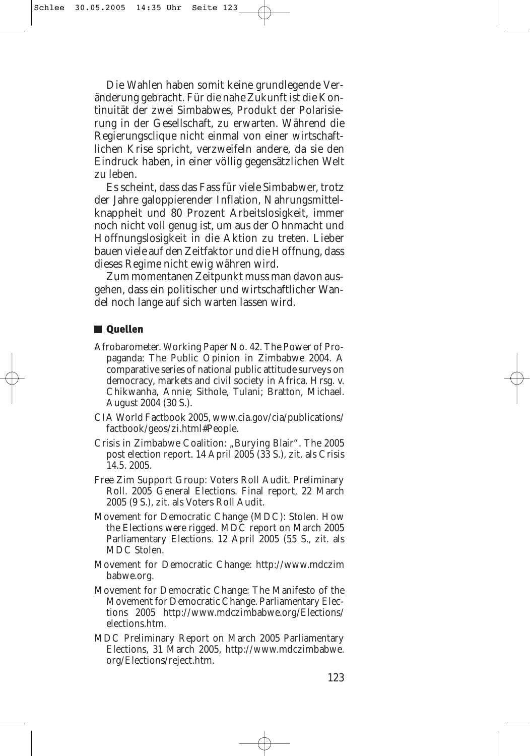Die Wahlen haben somit keine grundlegende Veränderung gebracht. Für die nahe Zukunft ist die Kontinuität der zwei Simbabwes, Produkt der Polarisierung in der Gesellschaft, zu erwarten. Während die Regierungsclique nicht einmal von einer wirtschaftlichen Krise spricht, verzweifeln andere, da sie den Eindruck haben, in einer völlig gegensätzlichen Welt zu leben.

Es scheint, dass das Fass für viele Simbabwer, trotz der Jahre galoppierender Inflation, Nahrungsmittelknappheit und 80 Prozent Arbeitslosigkeit, immer noch nicht voll genug ist, um aus der Ohnmacht und Hoffnungslosigkeit in die Aktion zu treten. Lieber bauen viele auf den Zeitfaktor und die Hoffnung, dass dieses Regime nicht ewig währen wird.

Zum momentanen Zeitpunkt muss man davon ausgehen, dass ein politischer und wirtschaftlicher Wandel noch lange auf sich warten lassen wird.

# **Quellen**

- Afrobarometer. Working Paper No. 42. The Power of Propaganda: The Public Opinion in Zimbabwe 2004. A comparative series of national public attitude surveys on democracy, markets and civil society in Africa. Hrsg. v. Chikwanha, Annie; Sithole, Tulani; Bratton, Michael. August 2004 (30 S.).
- CIA World Factbook 2005, www.cia.gov/cia/publications/ factbook/geos/zi.html#People.
- Crisis in Zimbabwe Coalition: "Burying Blair". The 2005 post election report. 14 April 2005 (33 S.), zit. als Crisis 14.5. 2005.
- Free Zim Support Group: Voters Roll Audit. Preliminary Roll. 2005 General Elections. Final report, 22 March 2005 (9 S.), zit. als Voters Roll Audit.
- Movement for Democratic Change (MDC): Stolen. How the Elections were rigged. MDC report on March 2005 Parliamentary Elections. 12 April 2005 (55 S., zit. als MDC Stolen.
- Movement for Democratic Change: http://www.mdczim babwe.org.
- Movement for Democratic Change: The Manifesto of the Movement for Democratic Change. Parliamentary Elections 2005 http://www.mdczimbabwe.org/Elections/ elections.htm.
- MDC Preliminary Report on March 2005 Parliamentary Elections, 31 March 2005, http://www.mdczimbabwe. org/Elections/reject.htm.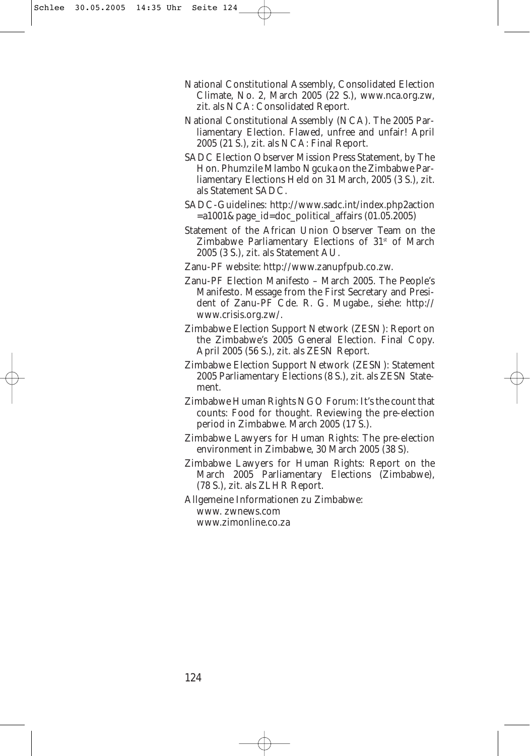- National Constitutional Assembly, Consolidated Election Climate, No. 2, March 2005 (22 S.), www.nca.org.zw, zit. als NCA: Consolidated Report.
- National Constitutional Assembly (NCA). The 2005 Parliamentary Election. Flawed, unfree and unfair! April 2005 (21 S.), zit. als NCA: Final Report.
- SADC Election Observer Mission Press Statement, by The Hon. Phumzile Mlambo Ngcuka on the Zimbabwe Parliamentary Elections Held on 31 March, 2005 (3 S.), zit. als Statement SADC.
- SADC-Guidelines: http://www.sadc.int/index.php2action  $=$ a1001&page\_id=doc\_political\_affairs (01.05.2005)
- Statement of the African Union Observer Team on the Zimbabwe Parliamentary Elections of  $31<sup>st</sup>$  of March 2005 (3 S.), zit. als Statement AU.
- Zanu-PF website: http://www.zanupfpub.co.zw.
- Zanu-PF Election Manifesto March 2005. The People's Manifesto. Message from the First Secretary and President of Zanu-PF Cde. R. G. Mugabe., siehe: http:// www.crisis.org.zw/.
- Zimbabwe Election Support Network (ZESN): Report on the Zimbabwe's 2005 General Election. Final Copy. April 2005 (56 S.), zit. als ZESN Report.
- Zimbabwe Election Support Network (ZESN): Statement 2005 Parliamentary Elections (8 S.), zit. als ZESN Statement.
- Zimbabwe Human Rights NGO Forum: It's the count that counts: Food for thought. Reviewing the pre-election period in Zimbabwe. March 2005 (17 S.).
- Zimbabwe Lawyers for Human Rights: The pre-election environment in Zimbabwe, 30 March 2005 (38 S).
- Zimbabwe Lawyers for Human Rights: Report on the March 2005 Parliamentary Elections (Zimbabwe), (78 S.), zit. als ZLHR Report.
- Allgemeine Informationen zu Zimbabwe: www. zwnews.com www.zimonline.co.za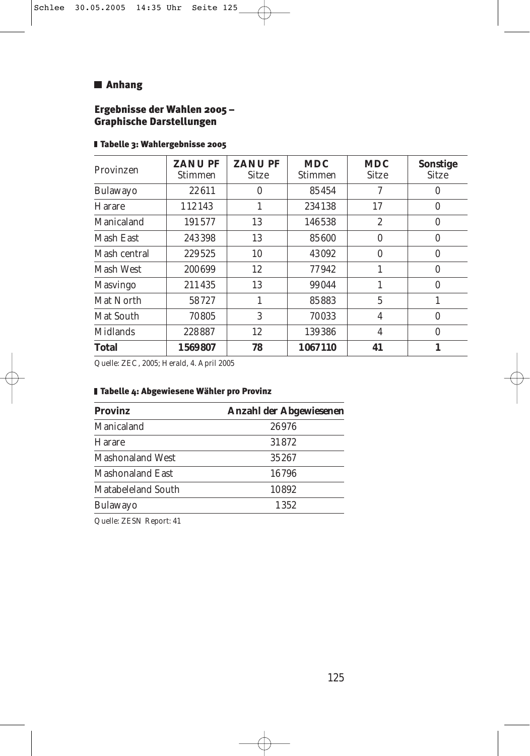# **M** Anhang

# Ergebnisse der Wahlen 2005 – Graphische Darstellungen

| Provinzen       | <b>ZANUPF</b><br>Stimmen | <b>ZANUPF</b><br><b>Sitze</b> | <b>MDC</b><br><b>Stimmen</b> | <b>MDC</b><br><b>Sitze</b> | <b>Sonstige</b><br><b>Sitze</b> |
|-----------------|--------------------------|-------------------------------|------------------------------|----------------------------|---------------------------------|
| <b>Bulawayo</b> | 22611                    | 0                             | 85454                        | 7                          | $\bf{0}$                        |
| Harare          | 112143                   | 1                             | 234138                       | 17                         | $\bf{0}$                        |
| Manicaland      | 191577                   | 13                            | 146538                       | $\overline{2}$             | $\mathbf{0}$                    |
| Mash East       | 243398                   | 13                            | 85600                        | 0                          | 0                               |
| Mash central    | 229525                   | 10                            | 43092                        | $\bf{0}$                   | $\bf{0}$                        |
| Mash West       | 200699                   | 12                            | 77942                        |                            | $\mathbf{0}$                    |
| <b>Masvingo</b> | 211435                   | 13                            | 99044                        |                            | $\mathbf{0}$                    |
| Mat North       | 58727                    | 1                             | 85883                        | $\overline{5}$             | 1                               |
| Mat South       | 70805                    | 3                             | 70033                        | 4                          | $\mathbf{0}$                    |
| <b>Midlands</b> | 228887                   | 12                            | 139386                       | 4                          | $\bf{0}$                        |
| <b>Total</b>    | 1569807                  | 78                            | 1067110                      | 41                         |                                 |

# Tabelle 3: Wahlergebnisse 2005

Quelle: ZEC, 2005; *Herald,* 4. April 2005

| Anzahl der Abgewiesenen |
|-------------------------|
| 26976                   |
| 31872                   |
| 35267                   |
| 16796                   |
| 10892                   |
| 1352                    |
|                         |

# Tabelle 4: Abgewiesene Wähler pro Provinz

Quelle: ZESN Report: 41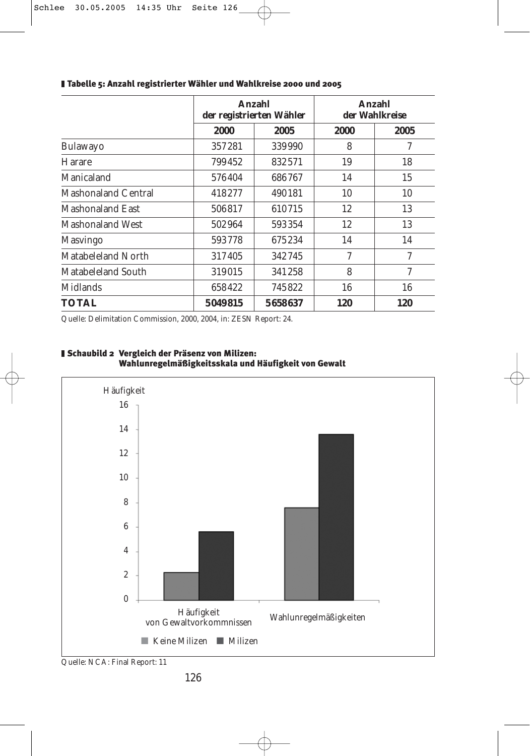|                            |         | Anzahl<br>der registrierten Wähler |      | Anzahl<br>der Wahlkreise |  |  |
|----------------------------|---------|------------------------------------|------|--------------------------|--|--|
|                            | 2000    | 2005                               | 2000 | 2005                     |  |  |
| Bulawayo                   | 357281  | 339990                             | 8    | 7                        |  |  |
| <b>Harare</b>              | 799452  | 832571                             | 19   | 18                       |  |  |
| Manicaland                 | 576404  | 686767                             | 14   | 15                       |  |  |
| <b>Mashonaland Central</b> | 418277  | 490181                             | 10   | 10                       |  |  |
| <b>Mashonaland East</b>    | 506817  | 610715                             | 12   | 13                       |  |  |
| <b>Mashonaland West</b>    | 502964  | 593354                             | 12   | 13                       |  |  |
| <b>Masvingo</b>            | 593778  | 675234                             | 14   | 14                       |  |  |
| Matabeleland North         | 317405  | 342745                             | 7    | 7                        |  |  |
| <b>Matabeleland South</b>  | 319015  | 341258                             | 8    | $\mathcal I$             |  |  |
| <b>Midlands</b>            | 658422  | 745822                             | 16   | 16                       |  |  |
| <b>TOTAL</b>               | 5049815 | 5658637                            | 120  | 120                      |  |  |

#### Tabelle 5: Anzahl registrierter Wähler und Wahlkreise 2000 und 2005

Quelle: Delimitation Commission, 2000, 2004, in: ZESN Report: 24.





Quelle: NCA: Final Report: 11